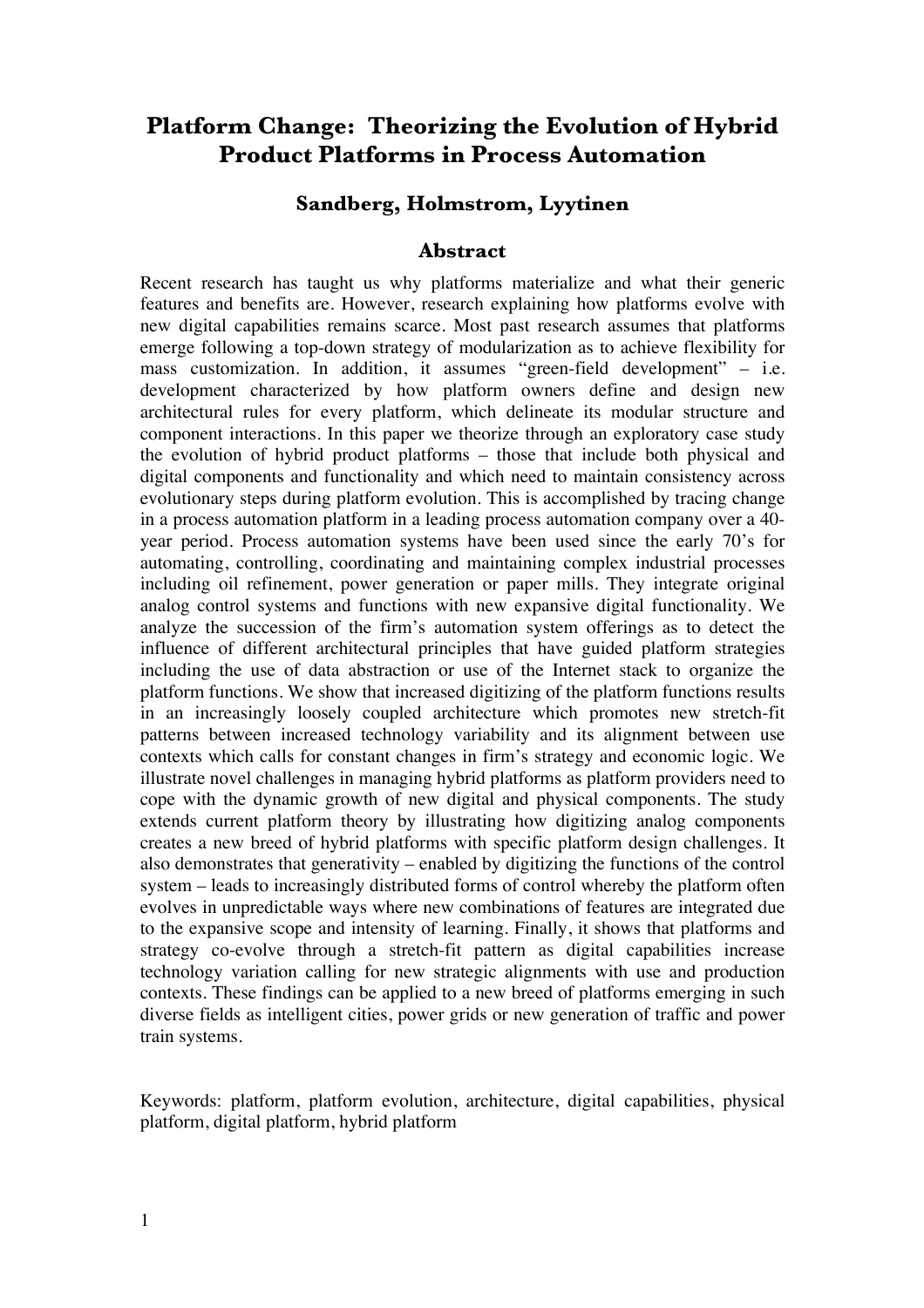# **Platform Change: Theorizing the Evolution of Hybrid Product Platforms in Process Automation**

#### **Sandberg, Holmstrom, Lyytinen**

#### **Abstract**

Recent research has taught us why platforms materialize and what their generic features and benefits are. However, research explaining how platforms evolve with new digital capabilities remains scarce. Most past research assumes that platforms emerge following a top-down strategy of modularization as to achieve flexibility for mass customization. In addition, it assumes "green-field development" – i.e. development characterized by how platform owners define and design new architectural rules for every platform, which delineate its modular structure and component interactions. In this paper we theorize through an exploratory case study the evolution of hybrid product platforms – those that include both physical and digital components and functionality and which need to maintain consistency across evolutionary steps during platform evolution. This is accomplished by tracing change in a process automation platform in a leading process automation company over a 40 year period. Process automation systems have been used since the early 70's for automating, controlling, coordinating and maintaining complex industrial processes including oil refinement, power generation or paper mills. They integrate original analog control systems and functions with new expansive digital functionality. We analyze the succession of the firm's automation system offerings as to detect the influence of different architectural principles that have guided platform strategies including the use of data abstraction or use of the Internet stack to organize the platform functions. We show that increased digitizing of the platform functions results in an increasingly loosely coupled architecture which promotes new stretch-fit patterns between increased technology variability and its alignment between use contexts which calls for constant changes in firm's strategy and economic logic. We illustrate novel challenges in managing hybrid platforms as platform providers need to cope with the dynamic growth of new digital and physical components. The study extends current platform theory by illustrating how digitizing analog components creates a new breed of hybrid platforms with specific platform design challenges. It also demonstrates that generativity – enabled by digitizing the functions of the control system – leads to increasingly distributed forms of control whereby the platform often evolves in unpredictable ways where new combinations of features are integrated due to the expansive scope and intensity of learning. Finally, it shows that platforms and strategy co-evolve through a stretch-fit pattern as digital capabilities increase technology variation calling for new strategic alignments with use and production contexts. These findings can be applied to a new breed of platforms emerging in such diverse fields as intelligent cities, power grids or new generation of traffic and power train systems.

Keywords: platform, platform evolution, architecture, digital capabilities, physical platform, digital platform, hybrid platform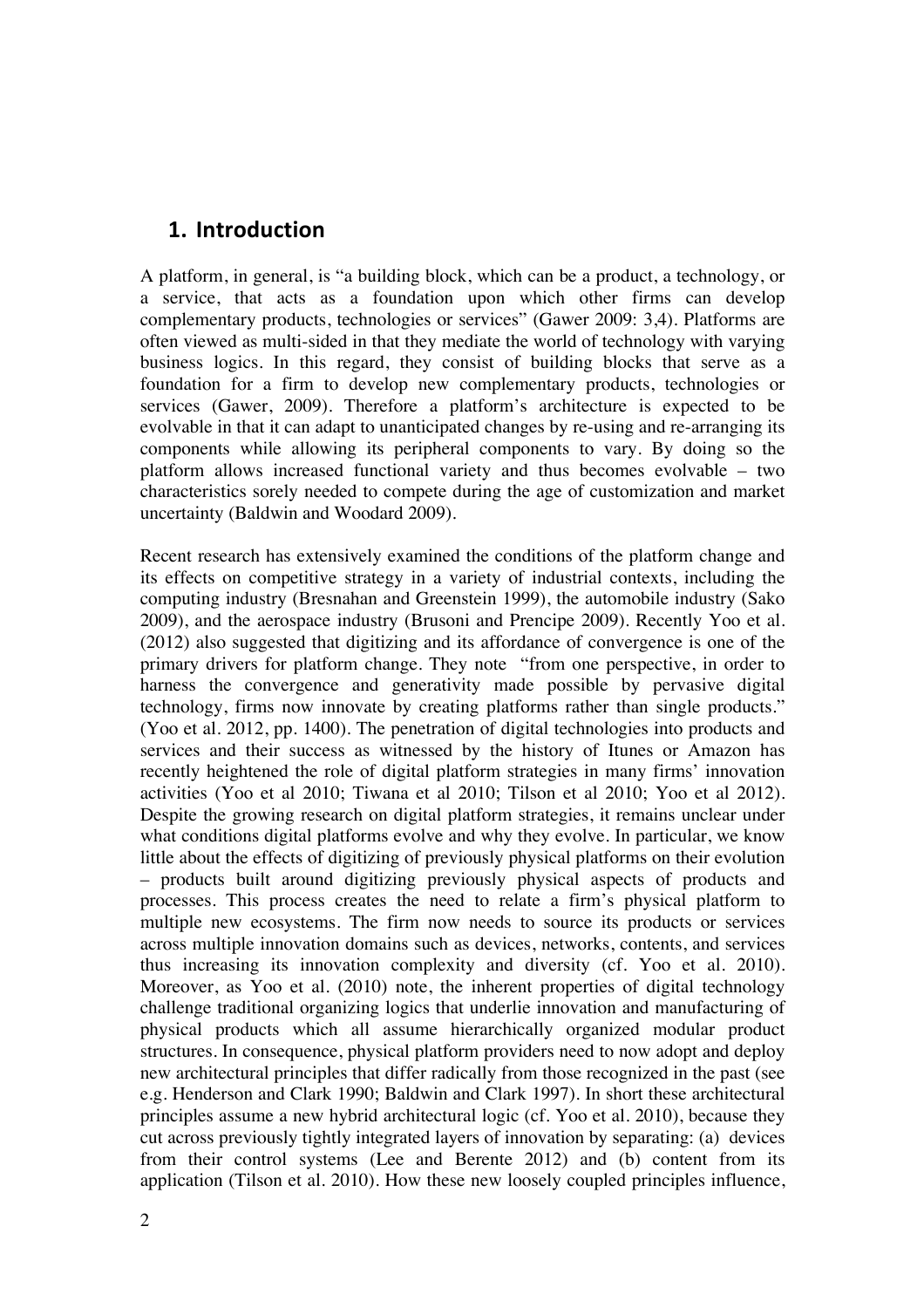## **1. Introduction**

A platform, in general, is "a building block, which can be a product, a technology, or a service, that acts as a foundation upon which other firms can develop complementary products, technologies or services" (Gawer 2009: 3,4). Platforms are often viewed as multi-sided in that they mediate the world of technology with varying business logics. In this regard, they consist of building blocks that serve as a foundation for a firm to develop new complementary products, technologies or services (Gawer, 2009). Therefore a platform's architecture is expected to be evolvable in that it can adapt to unanticipated changes by re-using and re-arranging its components while allowing its peripheral components to vary. By doing so the platform allows increased functional variety and thus becomes evolvable – two characteristics sorely needed to compete during the age of customization and market uncertainty (Baldwin and Woodard 2009).

Recent research has extensively examined the conditions of the platform change and its effects on competitive strategy in a variety of industrial contexts, including the computing industry (Bresnahan and Greenstein 1999), the automobile industry (Sako 2009), and the aerospace industry (Brusoni and Prencipe 2009). Recently Yoo et al. (2012) also suggested that digitizing and its affordance of convergence is one of the primary drivers for platform change. They note "from one perspective, in order to harness the convergence and generativity made possible by pervasive digital technology, firms now innovate by creating platforms rather than single products." (Yoo et al. 2012, pp. 1400). The penetration of digital technologies into products and services and their success as witnessed by the history of Itunes or Amazon has recently heightened the role of digital platform strategies in many firms' innovation activities (Yoo et al 2010; Tiwana et al 2010; Tilson et al 2010; Yoo et al 2012). Despite the growing research on digital platform strategies, it remains unclear under what conditions digital platforms evolve and why they evolve. In particular, we know little about the effects of digitizing of previously physical platforms on their evolution – products built around digitizing previously physical aspects of products and processes. This process creates the need to relate a firm's physical platform to multiple new ecosystems. The firm now needs to source its products or services across multiple innovation domains such as devices, networks, contents, and services thus increasing its innovation complexity and diversity (cf. Yoo et al. 2010). Moreover, as Yoo et al. (2010) note, the inherent properties of digital technology challenge traditional organizing logics that underlie innovation and manufacturing of physical products which all assume hierarchically organized modular product structures. In consequence, physical platform providers need to now adopt and deploy new architectural principles that differ radically from those recognized in the past (see e.g. Henderson and Clark 1990; Baldwin and Clark 1997). In short these architectural principles assume a new hybrid architectural logic (cf. Yoo et al. 2010), because they cut across previously tightly integrated layers of innovation by separating: (a) devices from their control systems (Lee and Berente 2012) and (b) content from its application (Tilson et al. 2010). How these new loosely coupled principles influence,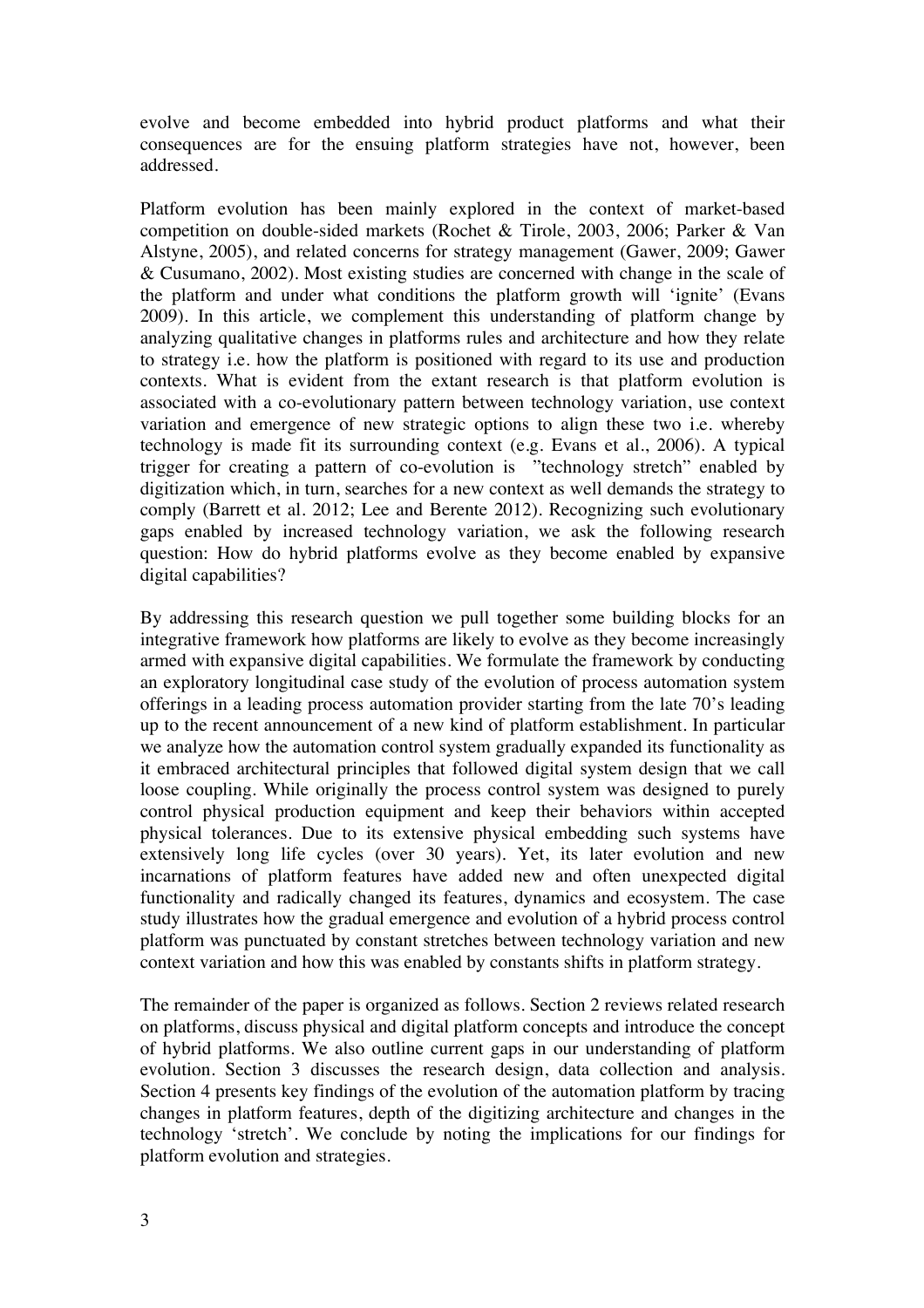evolve and become embedded into hybrid product platforms and what their consequences are for the ensuing platform strategies have not, however, been addressed.

Platform evolution has been mainly explored in the context of market-based competition on double-sided markets (Rochet & Tirole, 2003, 2006; Parker & Van Alstyne, 2005), and related concerns for strategy management (Gawer, 2009; Gawer & Cusumano, 2002). Most existing studies are concerned with change in the scale of the platform and under what conditions the platform growth will 'ignite' (Evans 2009). In this article, we complement this understanding of platform change by analyzing qualitative changes in platforms rules and architecture and how they relate to strategy i.e. how the platform is positioned with regard to its use and production contexts. What is evident from the extant research is that platform evolution is associated with a co-evolutionary pattern between technology variation, use context variation and emergence of new strategic options to align these two i.e. whereby technology is made fit its surrounding context (e.g. Evans et al., 2006). A typical trigger for creating a pattern of co-evolution is "technology stretch" enabled by digitization which, in turn, searches for a new context as well demands the strategy to comply (Barrett et al. 2012; Lee and Berente 2012). Recognizing such evolutionary gaps enabled by increased technology variation, we ask the following research question: How do hybrid platforms evolve as they become enabled by expansive digital capabilities?

By addressing this research question we pull together some building blocks for an integrative framework how platforms are likely to evolve as they become increasingly armed with expansive digital capabilities. We formulate the framework by conducting an exploratory longitudinal case study of the evolution of process automation system offerings in a leading process automation provider starting from the late 70's leading up to the recent announcement of a new kind of platform establishment. In particular we analyze how the automation control system gradually expanded its functionality as it embraced architectural principles that followed digital system design that we call loose coupling. While originally the process control system was designed to purely control physical production equipment and keep their behaviors within accepted physical tolerances. Due to its extensive physical embedding such systems have extensively long life cycles (over 30 years). Yet, its later evolution and new incarnations of platform features have added new and often unexpected digital functionality and radically changed its features, dynamics and ecosystem. The case study illustrates how the gradual emergence and evolution of a hybrid process control platform was punctuated by constant stretches between technology variation and new context variation and how this was enabled by constants shifts in platform strategy.

The remainder of the paper is organized as follows. Section 2 reviews related research on platforms, discuss physical and digital platform concepts and introduce the concept of hybrid platforms. We also outline current gaps in our understanding of platform evolution. Section 3 discusses the research design, data collection and analysis. Section 4 presents key findings of the evolution of the automation platform by tracing changes in platform features, depth of the digitizing architecture and changes in the technology 'stretch'. We conclude by noting the implications for our findings for platform evolution and strategies.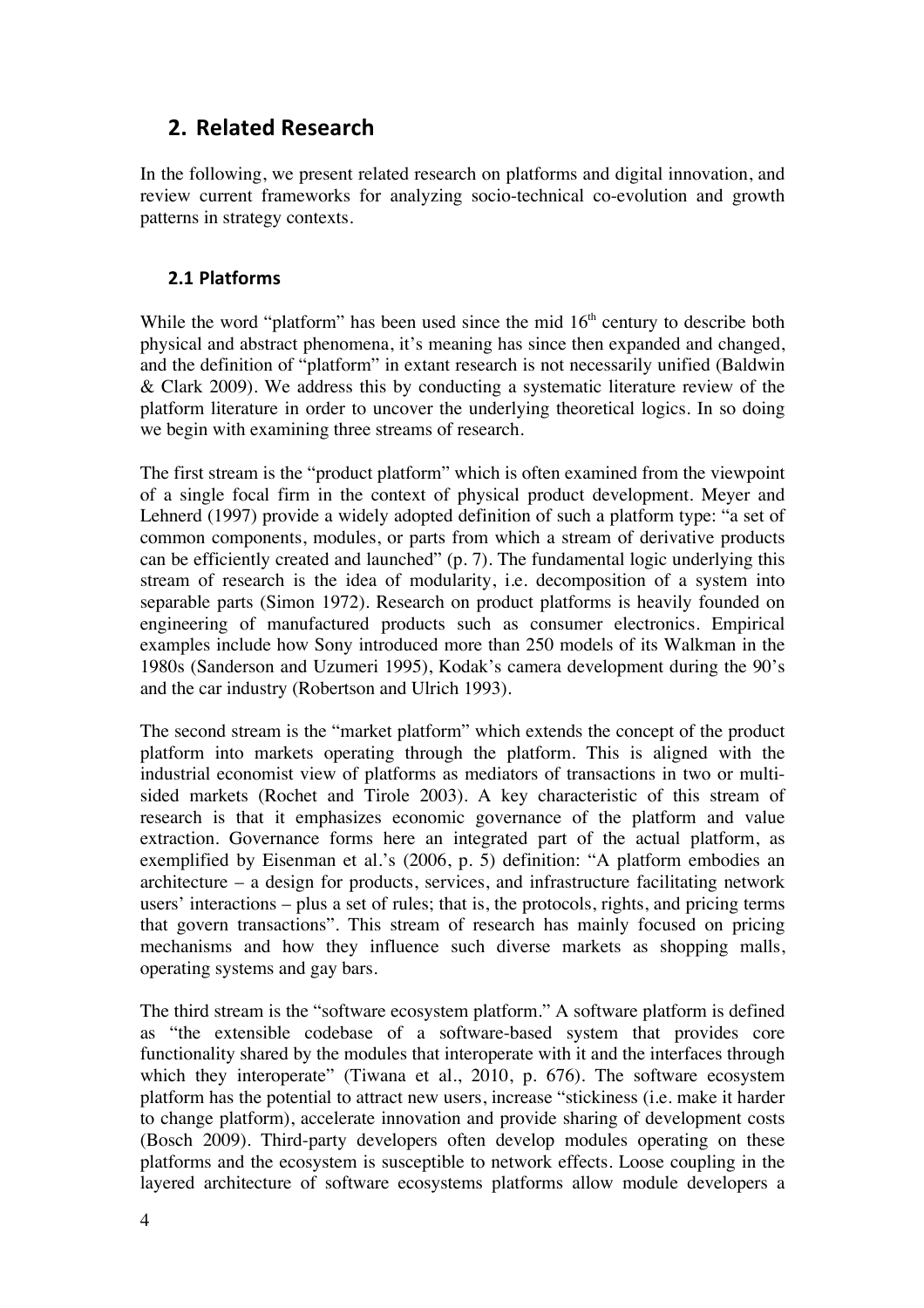## **2. Related Research**

In the following, we present related research on platforms and digital innovation, and review current frameworks for analyzing socio-technical co-evolution and growth patterns in strategy contexts.

### **2.1 Platforms**

While the word "platform" has been used since the mid  $16<sup>th</sup>$  century to describe both physical and abstract phenomena, it's meaning has since then expanded and changed, and the definition of "platform" in extant research is not necessarily unified (Baldwin & Clark 2009). We address this by conducting a systematic literature review of the platform literature in order to uncover the underlying theoretical logics. In so doing we begin with examining three streams of research.

The first stream is the "product platform" which is often examined from the viewpoint of a single focal firm in the context of physical product development. Meyer and Lehnerd (1997) provide a widely adopted definition of such a platform type: "a set of common components, modules, or parts from which a stream of derivative products can be efficiently created and launched" (p. 7). The fundamental logic underlying this stream of research is the idea of modularity, i.e. decomposition of a system into separable parts (Simon 1972). Research on product platforms is heavily founded on engineering of manufactured products such as consumer electronics. Empirical examples include how Sony introduced more than 250 models of its Walkman in the 1980s (Sanderson and Uzumeri 1995), Kodak's camera development during the 90's and the car industry (Robertson and Ulrich 1993).

The second stream is the "market platform" which extends the concept of the product platform into markets operating through the platform. This is aligned with the industrial economist view of platforms as mediators of transactions in two or multisided markets (Rochet and Tirole 2003). A key characteristic of this stream of research is that it emphasizes economic governance of the platform and value extraction. Governance forms here an integrated part of the actual platform, as exemplified by Eisenman et al.'s (2006, p. 5) definition: "A platform embodies an architecture – a design for products, services, and infrastructure facilitating network users' interactions – plus a set of rules; that is, the protocols, rights, and pricing terms that govern transactions". This stream of research has mainly focused on pricing mechanisms and how they influence such diverse markets as shopping malls, operating systems and gay bars.

The third stream is the "software ecosystem platform." A software platform is defined as "the extensible codebase of a software-based system that provides core functionality shared by the modules that interoperate with it and the interfaces through which they interoperate" (Tiwana et al., 2010, p. 676). The software ecosystem platform has the potential to attract new users, increase "stickiness (i.e. make it harder to change platform), accelerate innovation and provide sharing of development costs (Bosch 2009). Third-party developers often develop modules operating on these platforms and the ecosystem is susceptible to network effects. Loose coupling in the layered architecture of software ecosystems platforms allow module developers a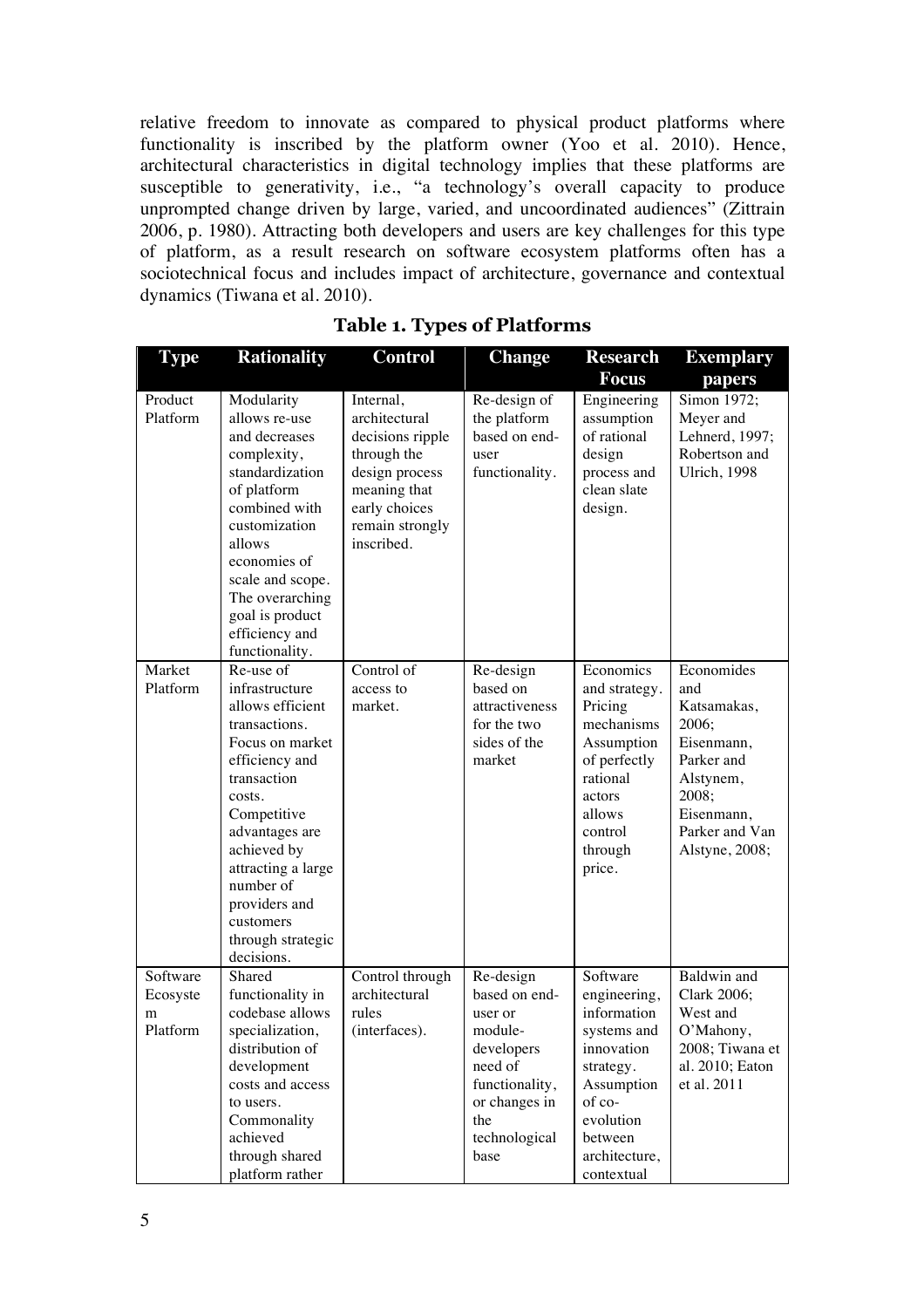relative freedom to innovate as compared to physical product platforms where functionality is inscribed by the platform owner (Yoo et al. 2010). Hence, architectural characteristics in digital technology implies that these platforms are susceptible to generativity, i.e., "a technology's overall capacity to produce unprompted change driven by large, varied, and uncoordinated audiences" (Zittrain 2006, p. 1980). Attracting both developers and users are key challenges for this type of platform, as a result research on software ecosystem platforms often has a sociotechnical focus and includes impact of architecture, governance and contextual dynamics (Tiwana et al. 2010).

| <b>Type</b>                           | <b>Rationality</b>                                                                                                                                                                                                                                                                 | <b>Control</b>                                                                                                                                    | <b>Change</b>                                                                                                                                | <b>Research</b>                                                                                                                                                  | Exemplary                                                                                                                                     |
|---------------------------------------|------------------------------------------------------------------------------------------------------------------------------------------------------------------------------------------------------------------------------------------------------------------------------------|---------------------------------------------------------------------------------------------------------------------------------------------------|----------------------------------------------------------------------------------------------------------------------------------------------|------------------------------------------------------------------------------------------------------------------------------------------------------------------|-----------------------------------------------------------------------------------------------------------------------------------------------|
|                                       |                                                                                                                                                                                                                                                                                    |                                                                                                                                                   |                                                                                                                                              | <b>Focus</b>                                                                                                                                                     | papers                                                                                                                                        |
| Product<br>Platform                   | Modularity<br>allows re-use<br>and decreases<br>complexity,<br>standardization<br>of platform<br>combined with<br>customization<br>allows<br>economies of<br>scale and scope.<br>The overarching<br>goal is product<br>efficiency and<br>functionality.                            | Internal,<br>architectural<br>decisions ripple<br>through the<br>design process<br>meaning that<br>early choices<br>remain strongly<br>inscribed. | Re-design of<br>the platform<br>based on end-<br>user<br>functionality.                                                                      | Engineering<br>assumption<br>of rational<br>design<br>process and<br>clean slate<br>design.                                                                      | Simon 1972;<br>Meyer and<br>Lehnerd, 1997;<br>Robertson and<br>Ulrich, 1998                                                                   |
| Market<br>Platform                    | Re-use of<br>infrastructure<br>allows efficient<br>transactions.<br>Focus on market<br>efficiency and<br>transaction<br>costs.<br>Competitive<br>advantages are<br>achieved by<br>attracting a large<br>number of<br>providers and<br>customers<br>through strategic<br>decisions. | Control of<br>access to<br>market.                                                                                                                | Re-design<br>based on<br>attractiveness<br>for the two<br>sides of the<br>market                                                             | Economics<br>and strategy.<br>Pricing<br>mechanisms<br>Assumption<br>of perfectly<br>rational<br>actors<br>allows<br>control<br>through<br>price.                | Economides<br>and<br>Katsamakas,<br>2006;<br>Eisenmann,<br>Parker and<br>Alstynem,<br>2008;<br>Eisenmann,<br>Parker and Van<br>Alstyne, 2008; |
| Software<br>Ecosyste<br>m<br>Platform | Shared<br>functionality in<br>codebase allows<br>specialization,<br>distribution of<br>development<br>costs and access<br>to users.<br>Commonality<br>achieved<br>through shared<br>platform rather                                                                                | Control through<br>architectural<br>rules<br>(interfaces).                                                                                        | Re-design<br>based on end-<br>user or<br>module-<br>developers<br>need of<br>functionality,<br>or changes in<br>the<br>technological<br>base | Software<br>engineering,<br>information<br>systems and<br>innovation<br>strategy.<br>Assumption<br>of co-<br>evolution<br>between<br>architecture,<br>contextual | Baldwin and<br>Clark 2006;<br>West and<br>O'Mahony,<br>2008; Tiwana et<br>al. 2010; Eaton<br>et al. 2011                                      |

## **Table 1. Types of Platforms**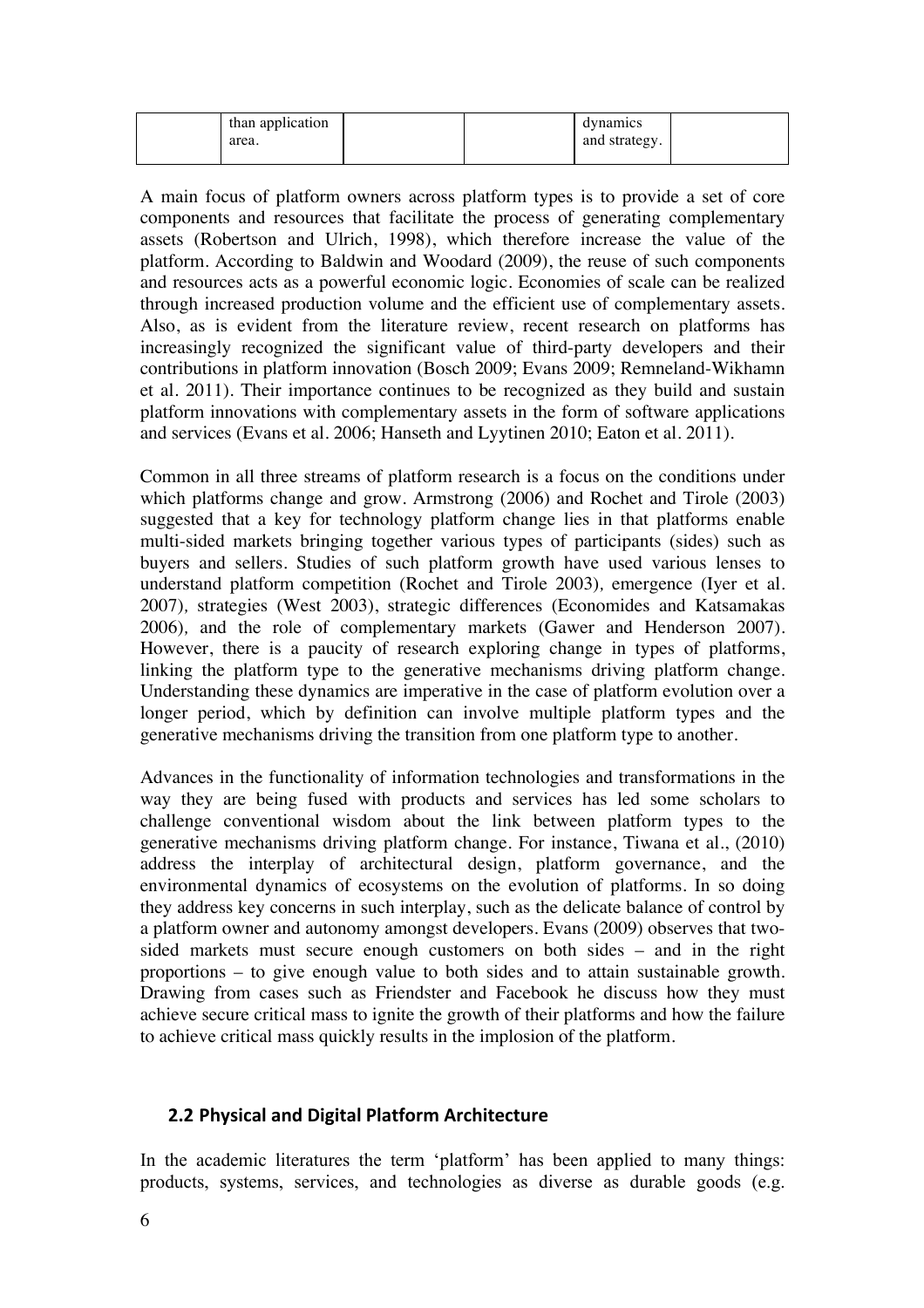| than application |  | dynamics      |  |
|------------------|--|---------------|--|
| area.            |  | and strategy. |  |

A main focus of platform owners across platform types is to provide a set of core components and resources that facilitate the process of generating complementary assets (Robertson and Ulrich, 1998), which therefore increase the value of the platform. According to Baldwin and Woodard (2009), the reuse of such components and resources acts as a powerful economic logic. Economies of scale can be realized through increased production volume and the efficient use of complementary assets. Also, as is evident from the literature review, recent research on platforms has increasingly recognized the significant value of third-party developers and their contributions in platform innovation (Bosch 2009; Evans 2009; Remneland-Wikhamn et al. 2011). Their importance continues to be recognized as they build and sustain platform innovations with complementary assets in the form of software applications and services (Evans et al. 2006; Hanseth and Lyytinen 2010; Eaton et al. 2011).

Common in all three streams of platform research is a focus on the conditions under which platforms change and grow. Armstrong (2006) and Rochet and Tirole (2003) suggested that a key for technology platform change lies in that platforms enable multi-sided markets bringing together various types of participants (sides) such as buyers and sellers. Studies of such platform growth have used various lenses to understand platform competition (Rochet and Tirole 2003)*,* emergence (Iyer et al. 2007)*,* strategies (West 2003), strategic differences (Economides and Katsamakas 2006)*,* and the role of complementary markets (Gawer and Henderson 2007). However, there is a paucity of research exploring change in types of platforms, linking the platform type to the generative mechanisms driving platform change. Understanding these dynamics are imperative in the case of platform evolution over a longer period, which by definition can involve multiple platform types and the generative mechanisms driving the transition from one platform type to another.

Advances in the functionality of information technologies and transformations in the way they are being fused with products and services has led some scholars to challenge conventional wisdom about the link between platform types to the generative mechanisms driving platform change. For instance, Tiwana et al., (2010) address the interplay of architectural design, platform governance, and the environmental dynamics of ecosystems on the evolution of platforms. In so doing they address key concerns in such interplay, such as the delicate balance of control by a platform owner and autonomy amongst developers. Evans (2009) observes that twosided markets must secure enough customers on both sides – and in the right proportions – to give enough value to both sides and to attain sustainable growth. Drawing from cases such as Friendster and Facebook he discuss how they must achieve secure critical mass to ignite the growth of their platforms and how the failure to achieve critical mass quickly results in the implosion of the platform.

#### **2.2 Physical and Digital Platform Architecture**

In the academic literatures the term 'platform' has been applied to many things: products, systems, services, and technologies as diverse as durable goods (e.g.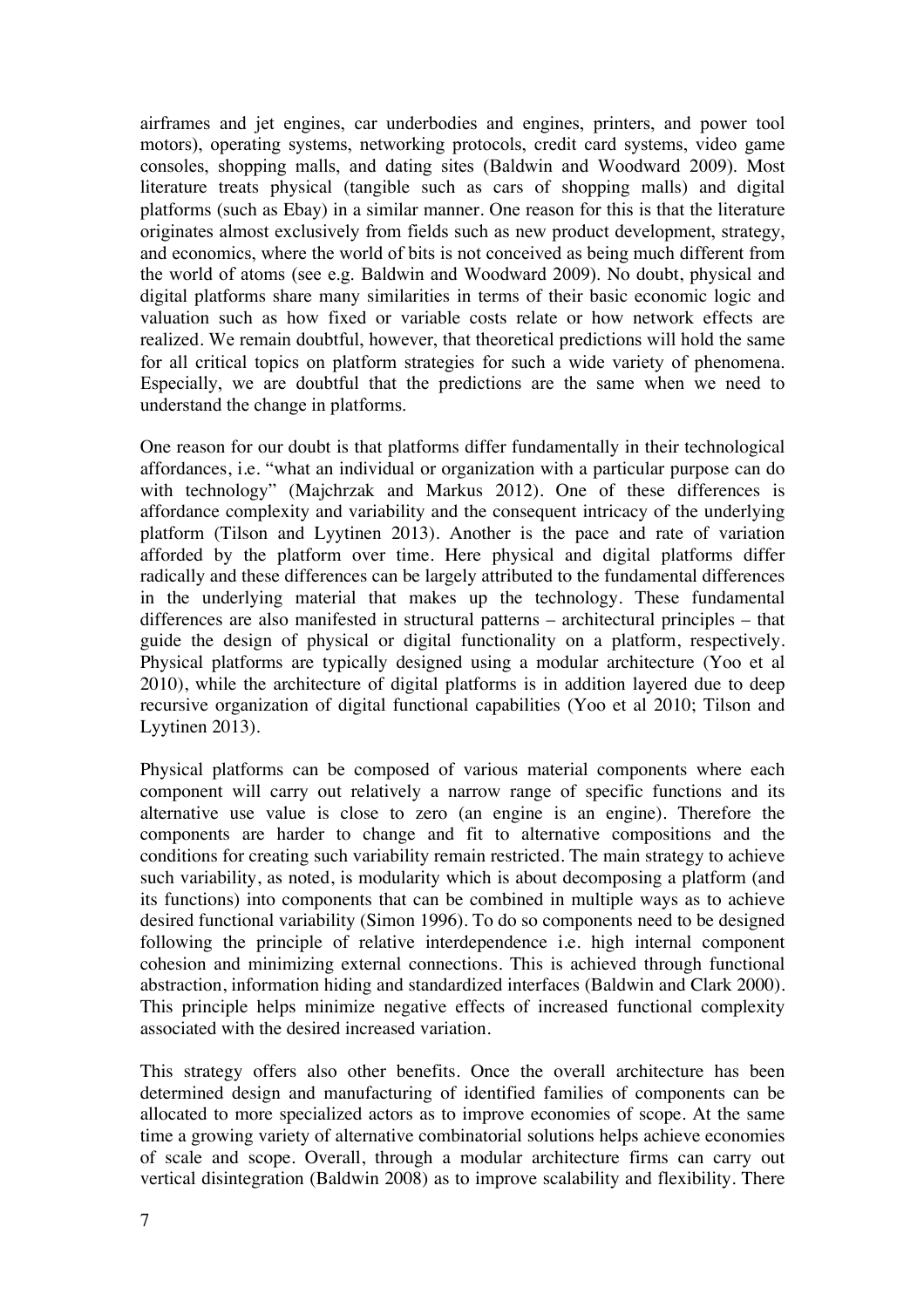airframes and jet engines, car underbodies and engines, printers, and power tool motors), operating systems, networking protocols, credit card systems, video game consoles, shopping malls, and dating sites (Baldwin and Woodward 2009). Most literature treats physical (tangible such as cars of shopping malls) and digital platforms (such as Ebay) in a similar manner. One reason for this is that the literature originates almost exclusively from fields such as new product development, strategy, and economics, where the world of bits is not conceived as being much different from the world of atoms (see e.g. Baldwin and Woodward 2009). No doubt, physical and digital platforms share many similarities in terms of their basic economic logic and valuation such as how fixed or variable costs relate or how network effects are realized. We remain doubtful, however, that theoretical predictions will hold the same for all critical topics on platform strategies for such a wide variety of phenomena. Especially, we are doubtful that the predictions are the same when we need to understand the change in platforms.

One reason for our doubt is that platforms differ fundamentally in their technological affordances, i.e. "what an individual or organization with a particular purpose can do with technology" (Majchrzak and Markus 2012). One of these differences is affordance complexity and variability and the consequent intricacy of the underlying platform (Tilson and Lyytinen 2013). Another is the pace and rate of variation afforded by the platform over time. Here physical and digital platforms differ radically and these differences can be largely attributed to the fundamental differences in the underlying material that makes up the technology. These fundamental differences are also manifested in structural patterns – architectural principles – that guide the design of physical or digital functionality on a platform, respectively. Physical platforms are typically designed using a modular architecture (Yoo et al 2010), while the architecture of digital platforms is in addition layered due to deep recursive organization of digital functional capabilities (Yoo et al 2010; Tilson and Lyytinen 2013).

Physical platforms can be composed of various material components where each component will carry out relatively a narrow range of specific functions and its alternative use value is close to zero (an engine is an engine). Therefore the components are harder to change and fit to alternative compositions and the conditions for creating such variability remain restricted. The main strategy to achieve such variability, as noted, is modularity which is about decomposing a platform (and its functions) into components that can be combined in multiple ways as to achieve desired functional variability (Simon 1996). To do so components need to be designed following the principle of relative interdependence i.e. high internal component cohesion and minimizing external connections. This is achieved through functional abstraction, information hiding and standardized interfaces (Baldwin and Clark 2000). This principle helps minimize negative effects of increased functional complexity associated with the desired increased variation.

This strategy offers also other benefits. Once the overall architecture has been determined design and manufacturing of identified families of components can be allocated to more specialized actors as to improve economies of scope. At the same time a growing variety of alternative combinatorial solutions helps achieve economies of scale and scope. Overall, through a modular architecture firms can carry out vertical disintegration (Baldwin 2008) as to improve scalability and flexibility. There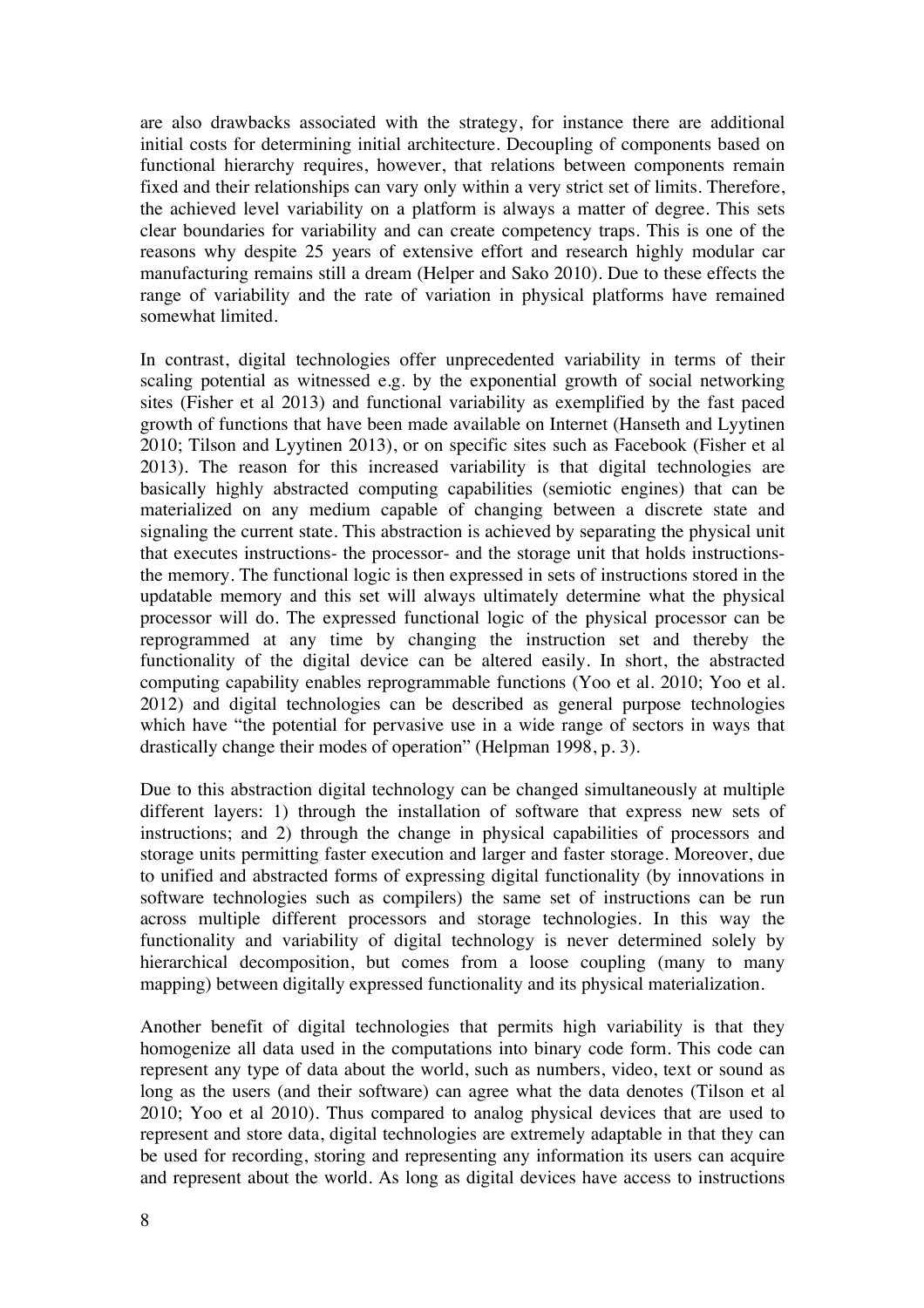are also drawbacks associated with the strategy, for instance there are additional initial costs for determining initial architecture. Decoupling of components based on functional hierarchy requires, however, that relations between components remain fixed and their relationships can vary only within a very strict set of limits. Therefore, the achieved level variability on a platform is always a matter of degree. This sets clear boundaries for variability and can create competency traps. This is one of the reasons why despite 25 years of extensive effort and research highly modular car manufacturing remains still a dream (Helper and Sako 2010). Due to these effects the range of variability and the rate of variation in physical platforms have remained somewhat limited.

In contrast, digital technologies offer unprecedented variability in terms of their scaling potential as witnessed e.g. by the exponential growth of social networking sites (Fisher et al 2013) and functional variability as exemplified by the fast paced growth of functions that have been made available on Internet (Hanseth and Lyytinen 2010; Tilson and Lyytinen 2013), or on specific sites such as Facebook (Fisher et al 2013). The reason for this increased variability is that digital technologies are basically highly abstracted computing capabilities (semiotic engines) that can be materialized on any medium capable of changing between a discrete state and signaling the current state. This abstraction is achieved by separating the physical unit that executes instructions- the processor- and the storage unit that holds instructionsthe memory. The functional logic is then expressed in sets of instructions stored in the updatable memory and this set will always ultimately determine what the physical processor will do. The expressed functional logic of the physical processor can be reprogrammed at any time by changing the instruction set and thereby the functionality of the digital device can be altered easily. In short, the abstracted computing capability enables reprogrammable functions (Yoo et al. 2010; Yoo et al. 2012) and digital technologies can be described as general purpose technologies which have "the potential for pervasive use in a wide range of sectors in ways that drastically change their modes of operation" (Helpman 1998, p. 3).

Due to this abstraction digital technology can be changed simultaneously at multiple different layers: 1) through the installation of software that express new sets of instructions; and 2) through the change in physical capabilities of processors and storage units permitting faster execution and larger and faster storage. Moreover, due to unified and abstracted forms of expressing digital functionality (by innovations in software technologies such as compilers) the same set of instructions can be run across multiple different processors and storage technologies. In this way the functionality and variability of digital technology is never determined solely by hierarchical decomposition, but comes from a loose coupling (many to many mapping) between digitally expressed functionality and its physical materialization.

Another benefit of digital technologies that permits high variability is that they homogenize all data used in the computations into binary code form. This code can represent any type of data about the world, such as numbers, video, text or sound as long as the users (and their software) can agree what the data denotes (Tilson et al 2010; Yoo et al 2010). Thus compared to analog physical devices that are used to represent and store data, digital technologies are extremely adaptable in that they can be used for recording, storing and representing any information its users can acquire and represent about the world. As long as digital devices have access to instructions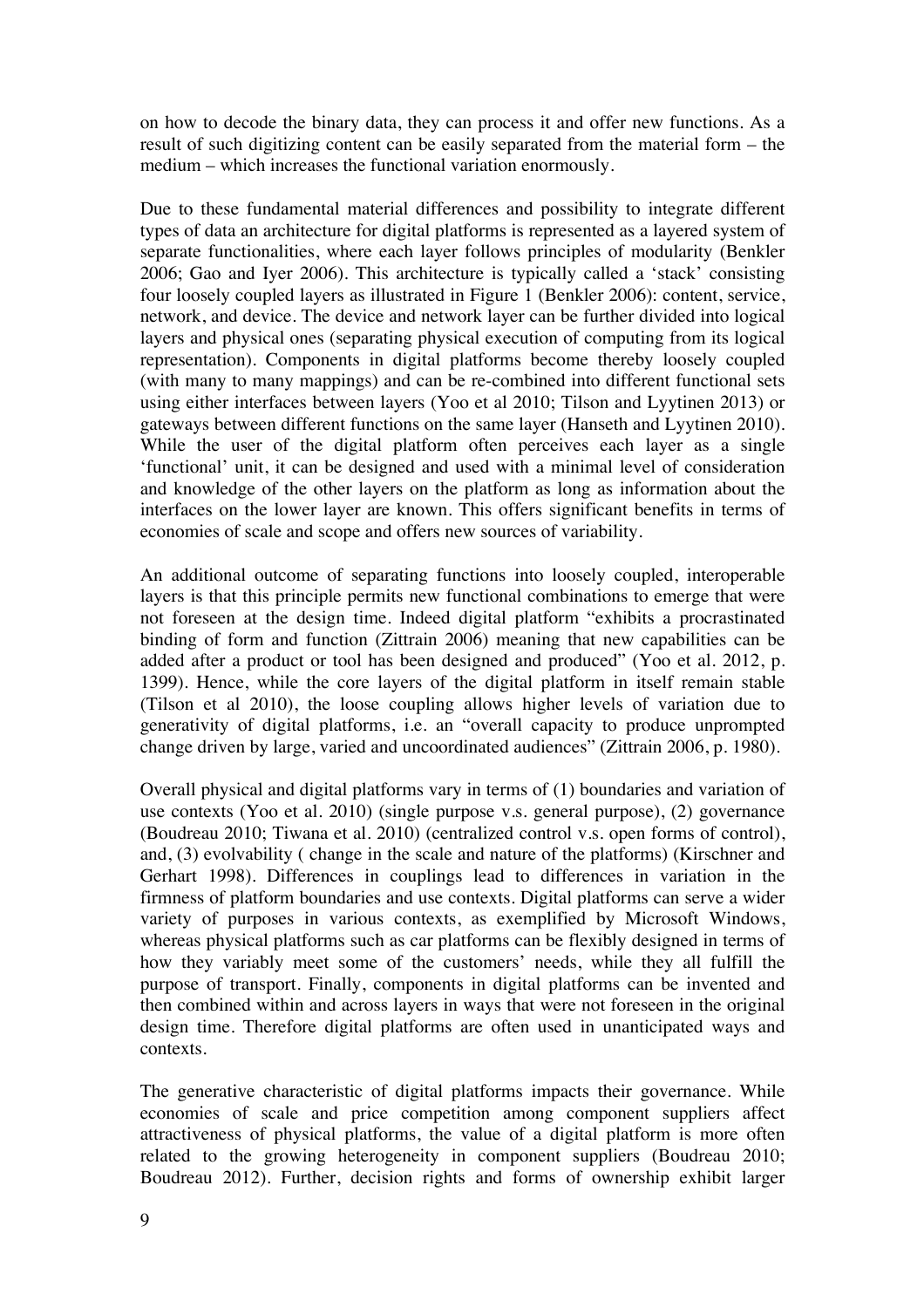on how to decode the binary data, they can process it and offer new functions. As a result of such digitizing content can be easily separated from the material form – the medium – which increases the functional variation enormously.

Due to these fundamental material differences and possibility to integrate different types of data an architecture for digital platforms is represented as a layered system of separate functionalities, where each layer follows principles of modularity (Benkler 2006; Gao and Iyer 2006). This architecture is typically called a 'stack' consisting four loosely coupled layers as illustrated in Figure 1 (Benkler 2006): content, service, network, and device. The device and network layer can be further divided into logical layers and physical ones (separating physical execution of computing from its logical representation). Components in digital platforms become thereby loosely coupled (with many to many mappings) and can be re-combined into different functional sets using either interfaces between layers (Yoo et al 2010; Tilson and Lyytinen 2013) or gateways between different functions on the same layer (Hanseth and Lyytinen 2010). While the user of the digital platform often perceives each layer as a single 'functional' unit, it can be designed and used with a minimal level of consideration and knowledge of the other layers on the platform as long as information about the interfaces on the lower layer are known. This offers significant benefits in terms of economies of scale and scope and offers new sources of variability.

An additional outcome of separating functions into loosely coupled, interoperable layers is that this principle permits new functional combinations to emerge that were not foreseen at the design time. Indeed digital platform "exhibits a procrastinated binding of form and function (Zittrain 2006) meaning that new capabilities can be added after a product or tool has been designed and produced" (Yoo et al. 2012, p. 1399). Hence, while the core layers of the digital platform in itself remain stable (Tilson et al 2010), the loose coupling allows higher levels of variation due to generativity of digital platforms, i.e. an "overall capacity to produce unprompted change driven by large, varied and uncoordinated audiences" (Zittrain 2006, p. 1980).

Overall physical and digital platforms vary in terms of (1) boundaries and variation of use contexts (Yoo et al. 2010) (single purpose v.s. general purpose), (2) governance (Boudreau 2010; Tiwana et al. 2010) (centralized control v.s. open forms of control), and, (3) evolvability ( change in the scale and nature of the platforms) (Kirschner and Gerhart 1998). Differences in couplings lead to differences in variation in the firmness of platform boundaries and use contexts. Digital platforms can serve a wider variety of purposes in various contexts, as exemplified by Microsoft Windows, whereas physical platforms such as car platforms can be flexibly designed in terms of how they variably meet some of the customers' needs, while they all fulfill the purpose of transport. Finally, components in digital platforms can be invented and then combined within and across layers in ways that were not foreseen in the original design time. Therefore digital platforms are often used in unanticipated ways and contexts.

The generative characteristic of digital platforms impacts their governance. While economies of scale and price competition among component suppliers affect attractiveness of physical platforms, the value of a digital platform is more often related to the growing heterogeneity in component suppliers (Boudreau 2010; Boudreau 2012). Further, decision rights and forms of ownership exhibit larger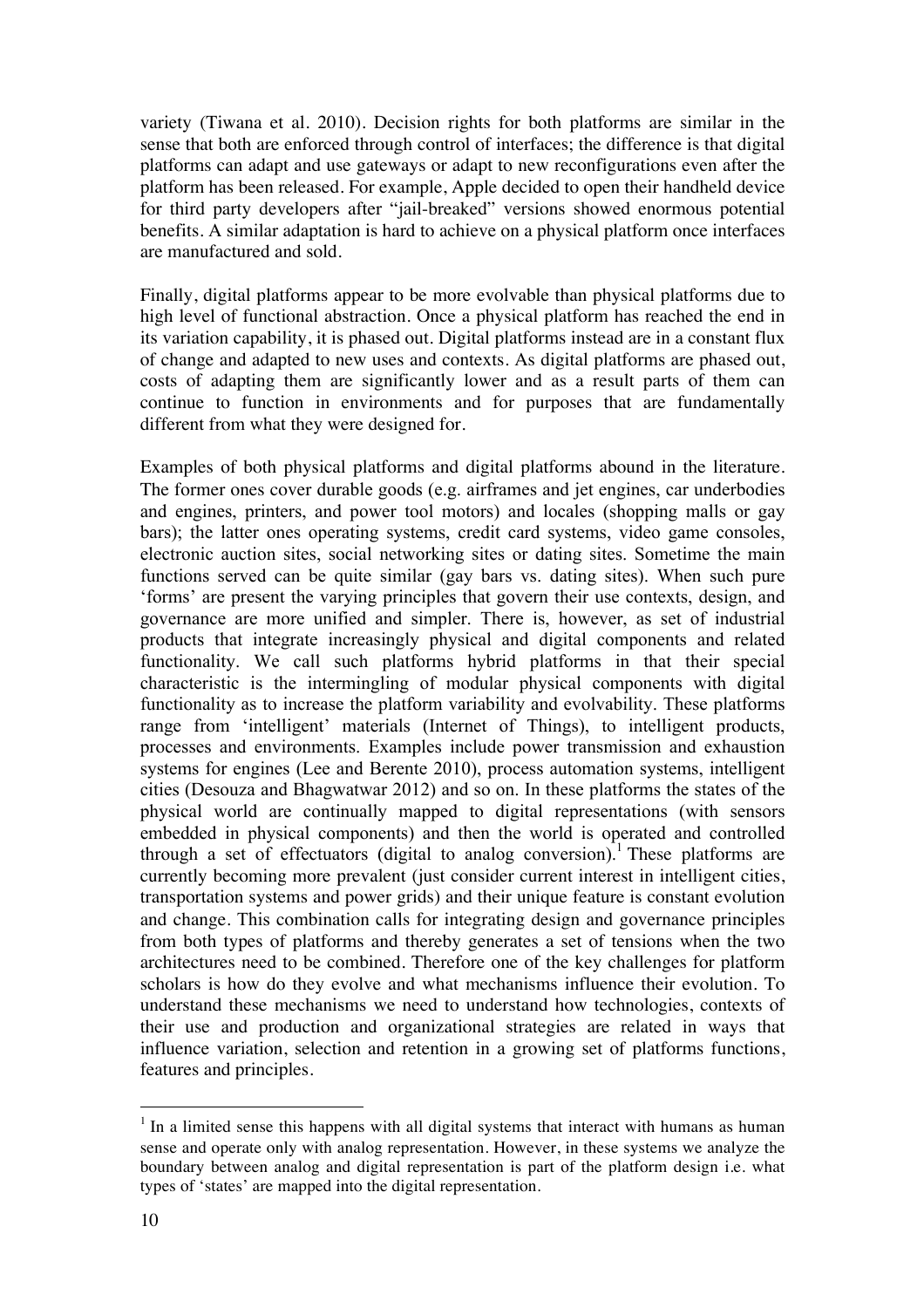variety (Tiwana et al. 2010). Decision rights for both platforms are similar in the sense that both are enforced through control of interfaces; the difference is that digital platforms can adapt and use gateways or adapt to new reconfigurations even after the platform has been released. For example, Apple decided to open their handheld device for third party developers after "jail-breaked" versions showed enormous potential benefits. A similar adaptation is hard to achieve on a physical platform once interfaces are manufactured and sold.

Finally, digital platforms appear to be more evolvable than physical platforms due to high level of functional abstraction. Once a physical platform has reached the end in its variation capability, it is phased out. Digital platforms instead are in a constant flux of change and adapted to new uses and contexts. As digital platforms are phased out, costs of adapting them are significantly lower and as a result parts of them can continue to function in environments and for purposes that are fundamentally different from what they were designed for.

Examples of both physical platforms and digital platforms abound in the literature. The former ones cover durable goods (e.g. airframes and jet engines, car underbodies and engines, printers, and power tool motors) and locales (shopping malls or gay bars); the latter ones operating systems, credit card systems, video game consoles, electronic auction sites, social networking sites or dating sites. Sometime the main functions served can be quite similar (gay bars vs. dating sites). When such pure 'forms' are present the varying principles that govern their use contexts, design, and governance are more unified and simpler. There is, however, as set of industrial products that integrate increasingly physical and digital components and related functionality. We call such platforms hybrid platforms in that their special characteristic is the intermingling of modular physical components with digital functionality as to increase the platform variability and evolvability. These platforms range from 'intelligent' materials (Internet of Things), to intelligent products, processes and environments. Examples include power transmission and exhaustion systems for engines (Lee and Berente 2010), process automation systems, intelligent cities (Desouza and Bhagwatwar 2012) and so on. In these platforms the states of the physical world are continually mapped to digital representations (with sensors embedded in physical components) and then the world is operated and controlled through a set of effectuators (digital to analog conversion).<sup>1</sup> These platforms are currently becoming more prevalent (just consider current interest in intelligent cities, transportation systems and power grids) and their unique feature is constant evolution and change. This combination calls for integrating design and governance principles from both types of platforms and thereby generates a set of tensions when the two architectures need to be combined. Therefore one of the key challenges for platform scholars is how do they evolve and what mechanisms influence their evolution. To understand these mechanisms we need to understand how technologies, contexts of their use and production and organizational strategies are related in ways that influence variation, selection and retention in a growing set of platforms functions, features and principles.

 $<sup>1</sup>$  In a limited sense this happens with all digital systems that interact with humans as human</sup> sense and operate only with analog representation. However, in these systems we analyze the boundary between analog and digital representation is part of the platform design i.e. what types of 'states' are mapped into the digital representation.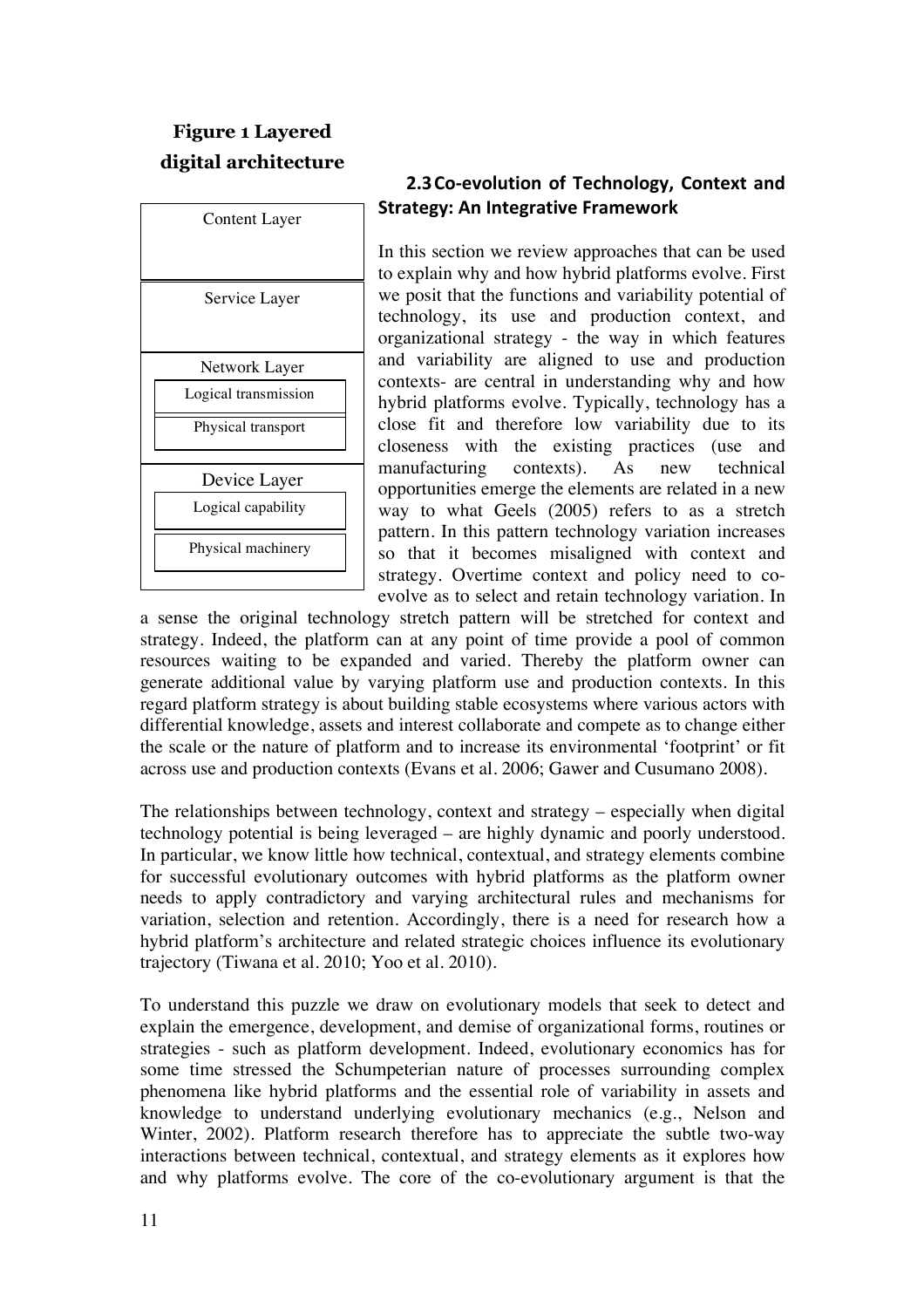# **Figure 1 Layered digital architecture**

| <b>Content Layer</b> |
|----------------------|
|                      |
|                      |
| Service Layer        |
|                      |
| Network Layer        |
| Logical transmission |
| Physical transport   |
|                      |
| Device Layer         |
| Logical capability   |
| Physical machinery   |

### **2.3 Co-evolution of Technology, Context and Strategy: An Integrative Framework**

In this section we review approaches that can be used to explain why and how hybrid platforms evolve. First we posit that the functions and variability potential of technology, its use and production context, and organizational strategy - the way in which features and variability are aligned to use and production contexts- are central in understanding why and how hybrid platforms evolve. Typically, technology has a close fit and therefore low variability due to its closeness with the existing practices (use and manufacturing contexts). As new technical opportunities emerge the elements are related in a new way to what Geels (2005) refers to as a stretch pattern. In this pattern technology variation increases so that it becomes misaligned with context and strategy. Overtime context and policy need to coevolve as to select and retain technology variation. In

a sense the original technology stretch pattern will be stretched for context and strategy. Indeed, the platform can at any point of time provide a pool of common resources waiting to be expanded and varied. Thereby the platform owner can generate additional value by varying platform use and production contexts. In this regard platform strategy is about building stable ecosystems where various actors with differential knowledge, assets and interest collaborate and compete as to change either the scale or the nature of platform and to increase its environmental 'footprint' or fit across use and production contexts (Evans et al. 2006; Gawer and Cusumano 2008).

The relationships between technology, context and strategy – especially when digital technology potential is being leveraged – are highly dynamic and poorly understood. In particular, we know little how technical, contextual, and strategy elements combine for successful evolutionary outcomes with hybrid platforms as the platform owner needs to apply contradictory and varying architectural rules and mechanisms for variation, selection and retention. Accordingly, there is a need for research how a hybrid platform's architecture and related strategic choices influence its evolutionary trajectory (Tiwana et al. 2010; Yoo et al. 2010).

To understand this puzzle we draw on evolutionary models that seek to detect and explain the emergence, development, and demise of organizational forms, routines or strategies - such as platform development. Indeed, evolutionary economics has for some time stressed the Schumpeterian nature of processes surrounding complex phenomena like hybrid platforms and the essential role of variability in assets and knowledge to understand underlying evolutionary mechanics (e.g., Nelson and Winter, 2002). Platform research therefore has to appreciate the subtle two-way interactions between technical, contextual, and strategy elements as it explores how and why platforms evolve. The core of the co-evolutionary argument is that the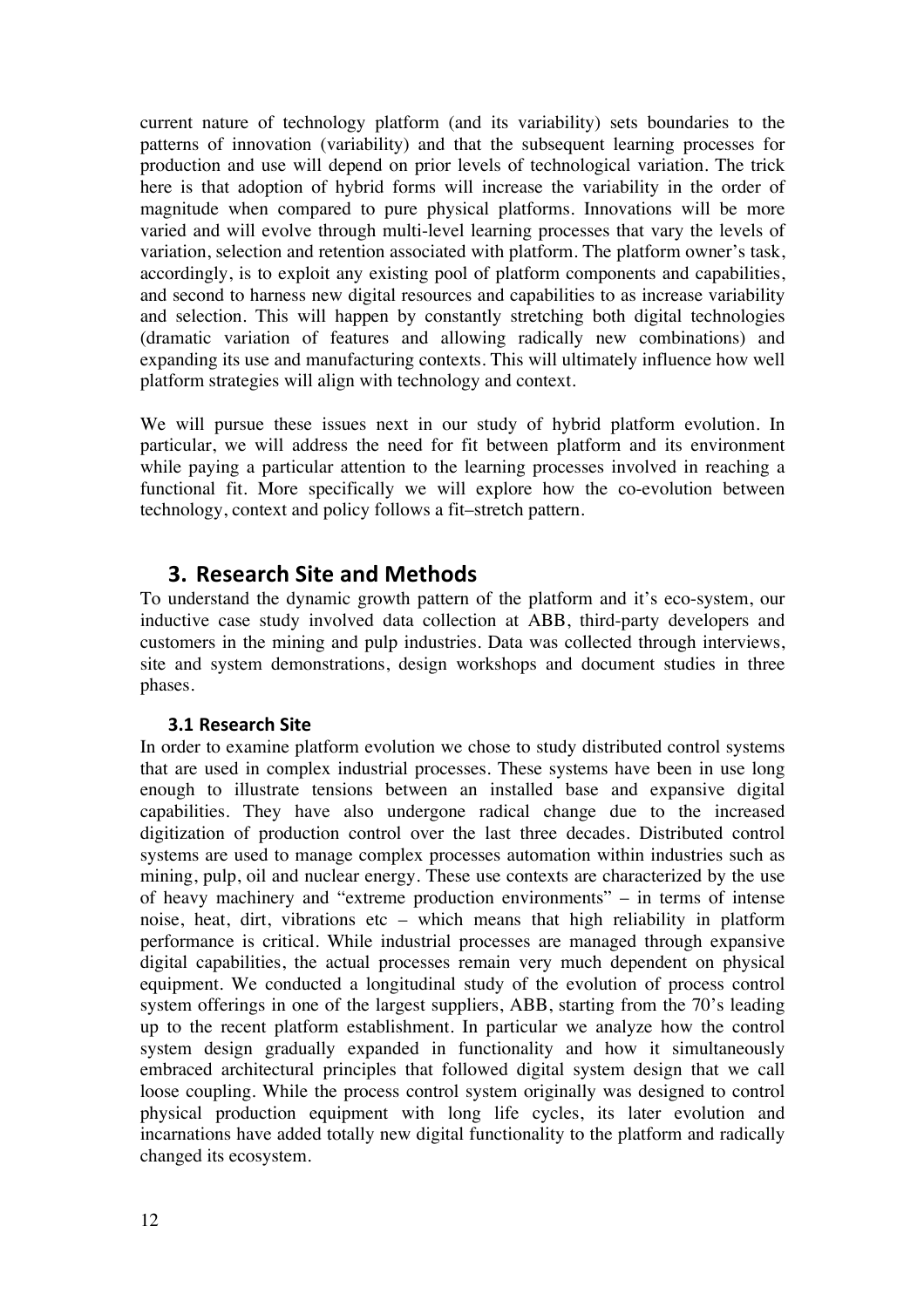current nature of technology platform (and its variability) sets boundaries to the patterns of innovation (variability) and that the subsequent learning processes for production and use will depend on prior levels of technological variation. The trick here is that adoption of hybrid forms will increase the variability in the order of magnitude when compared to pure physical platforms. Innovations will be more varied and will evolve through multi-level learning processes that vary the levels of variation, selection and retention associated with platform. The platform owner's task, accordingly, is to exploit any existing pool of platform components and capabilities, and second to harness new digital resources and capabilities to as increase variability and selection. This will happen by constantly stretching both digital technologies (dramatic variation of features and allowing radically new combinations) and expanding its use and manufacturing contexts. This will ultimately influence how well platform strategies will align with technology and context.

We will pursue these issues next in our study of hybrid platform evolution. In particular, we will address the need for fit between platform and its environment while paying a particular attention to the learning processes involved in reaching a functional fit. More specifically we will explore how the co-evolution between technology, context and policy follows a fit–stretch pattern.

## **3. Research Site and Methods**

To understand the dynamic growth pattern of the platform and it's eco-system, our inductive case study involved data collection at ABB, third-party developers and customers in the mining and pulp industries. Data was collected through interviews, site and system demonstrations, design workshops and document studies in three phases.

#### **3.1 Research Site**

In order to examine platform evolution we chose to study distributed control systems that are used in complex industrial processes. These systems have been in use long enough to illustrate tensions between an installed base and expansive digital capabilities. They have also undergone radical change due to the increased digitization of production control over the last three decades. Distributed control systems are used to manage complex processes automation within industries such as mining, pulp, oil and nuclear energy. These use contexts are characterized by the use of heavy machinery and "extreme production environments" – in terms of intense noise, heat, dirt, vibrations etc – which means that high reliability in platform performance is critical. While industrial processes are managed through expansive digital capabilities, the actual processes remain very much dependent on physical equipment. We conducted a longitudinal study of the evolution of process control system offerings in one of the largest suppliers, ABB, starting from the 70's leading up to the recent platform establishment. In particular we analyze how the control system design gradually expanded in functionality and how it simultaneously embraced architectural principles that followed digital system design that we call loose coupling. While the process control system originally was designed to control physical production equipment with long life cycles, its later evolution and incarnations have added totally new digital functionality to the platform and radically changed its ecosystem.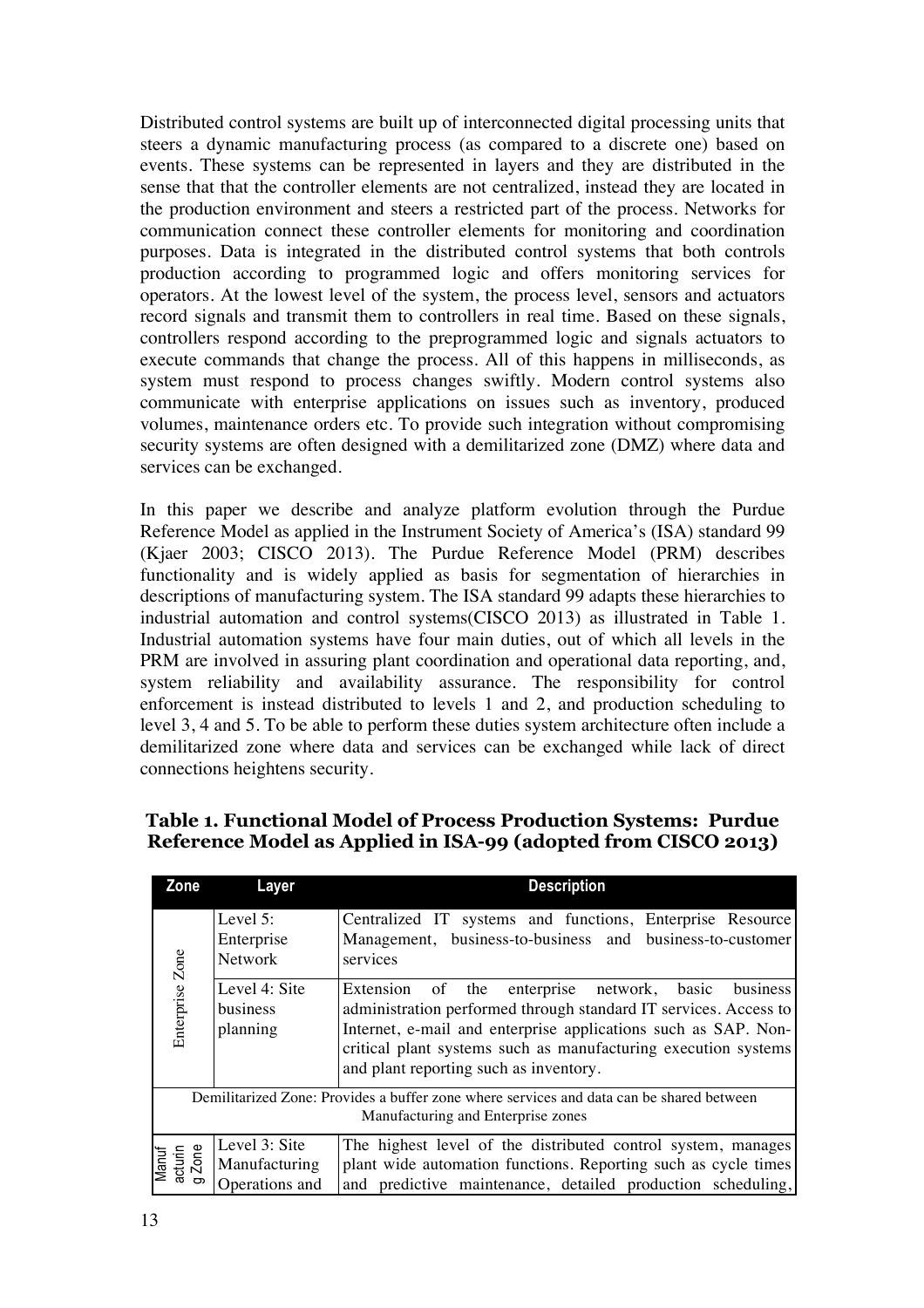Distributed control systems are built up of interconnected digital processing units that steers a dynamic manufacturing process (as compared to a discrete one) based on events. These systems can be represented in layers and they are distributed in the sense that that the controller elements are not centralized, instead they are located in the production environment and steers a restricted part of the process. Networks for communication connect these controller elements for monitoring and coordination purposes. Data is integrated in the distributed control systems that both controls production according to programmed logic and offers monitoring services for operators. At the lowest level of the system, the process level, sensors and actuators record signals and transmit them to controllers in real time. Based on these signals, controllers respond according to the preprogrammed logic and signals actuators to execute commands that change the process. All of this happens in milliseconds, as system must respond to process changes swiftly. Modern control systems also communicate with enterprise applications on issues such as inventory, produced volumes, maintenance orders etc. To provide such integration without compromising security systems are often designed with a demilitarized zone (DMZ) where data and services can be exchanged.

In this paper we describe and analyze platform evolution through the Purdue Reference Model as applied in the Instrument Society of America's (ISA) standard 99 (Kjaer 2003; CISCO 2013). The Purdue Reference Model (PRM) describes functionality and is widely applied as basis for segmentation of hierarchies in descriptions of manufacturing system. The ISA standard 99 adapts these hierarchies to industrial automation and control systems(CISCO 2013) as illustrated in Table 1. Industrial automation systems have four main duties, out of which all levels in the PRM are involved in assuring plant coordination and operational data reporting, and, system reliability and availability assurance. The responsibility for control enforcement is instead distributed to levels 1 and 2, and production scheduling to level 3, 4 and 5. To be able to perform these duties system architecture often include a demilitarized zone where data and services can be exchanged while lack of direct connections heightens security.

| Zone                       | Layer                                            | <b>Description</b>                                                                                                                                                                                                                                                                                       |  |  |
|----------------------------|--------------------------------------------------|----------------------------------------------------------------------------------------------------------------------------------------------------------------------------------------------------------------------------------------------------------------------------------------------------------|--|--|
|                            | Level 5:<br>Enterprise<br><b>Network</b>         | Centralized IT systems and functions, Enterprise Resource<br>Management, business-to-business and business-to-customer<br>services                                                                                                                                                                       |  |  |
| Enterprise Zone            | Level 4: Site<br>business<br>planning            | Extension of the enterprise network, basic<br>business<br>administration performed through standard IT services. Access to<br>Internet, e-mail and enterprise applications such as SAP. Non-<br>critical plant systems such as manufacturing execution systems<br>and plant reporting such as inventory. |  |  |
|                            |                                                  | Demilitarized Zone: Provides a buffer zone where services and data can be shared between<br>Manufacturing and Enterprise zones                                                                                                                                                                           |  |  |
| Manuf<br>acturin<br>g Zone | Level 3: Site<br>Manufacturing<br>Operations and | The highest level of the distributed control system, manages<br>plant wide automation functions. Reporting such as cycle times<br>and predictive maintenance, detailed production scheduling,                                                                                                            |  |  |

### **Table 1. Functional Model of Process Production Systems: Purdue Reference Model as Applied in ISA-99 (adopted from CISCO 2013)**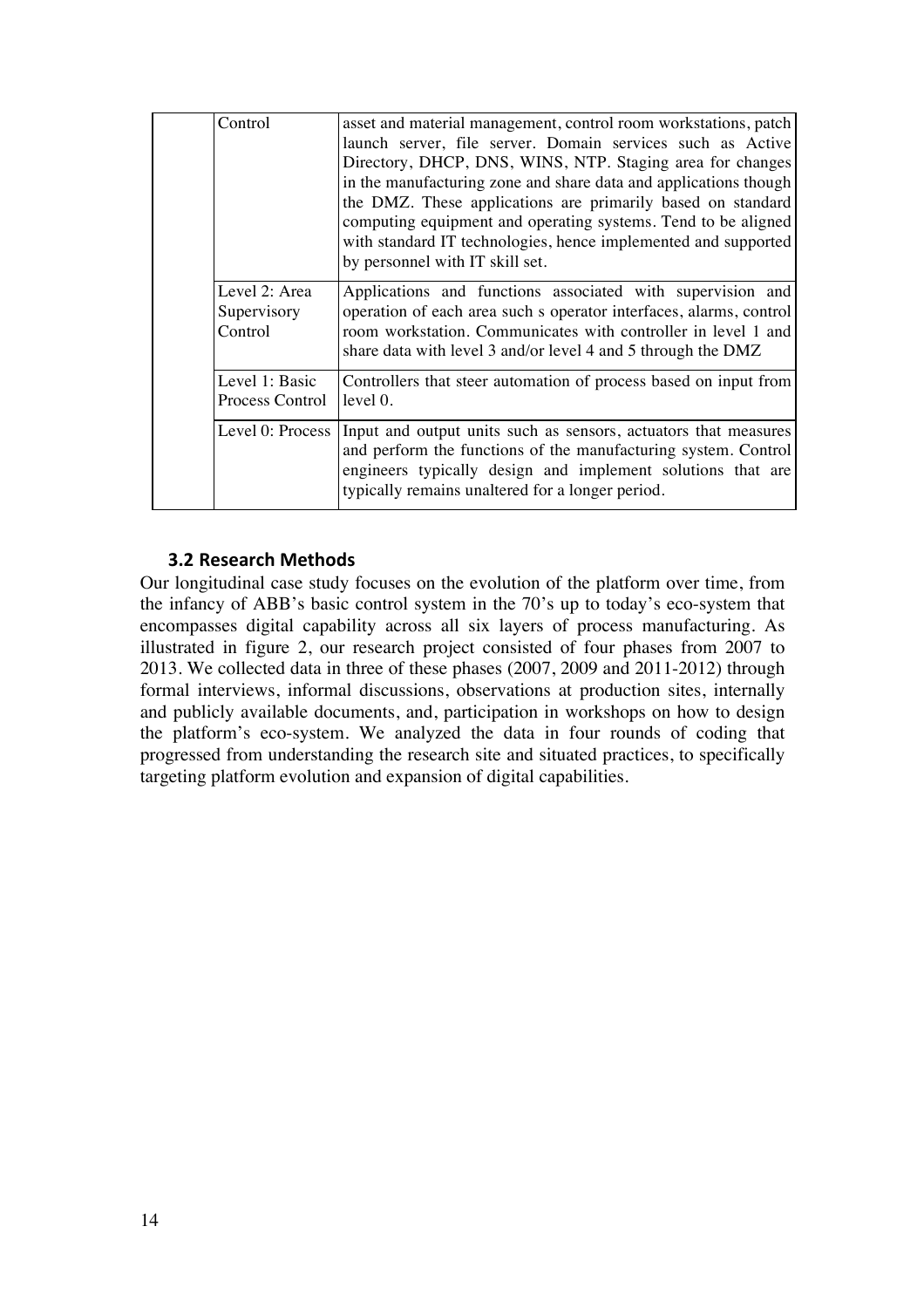#### **3.2 Research Methods**

Our longitudinal case study focuses on the evolution of the platform over time, from the infancy of ABB's basic control system in the 70's up to today's eco-system that encompasses digital capability across all six layers of process manufacturing. As illustrated in figure 2, our research project consisted of four phases from 2007 to 2013. We collected data in three of these phases (2007, 2009 and 2011-2012) through formal interviews, informal discussions, observations at production sites, internally and publicly available documents, and, participation in workshops on how to design the platform's eco-system. We analyzed the data in four rounds of coding that progressed from understanding the research site and situated practices, to specifically targeting platform evolution and expansion of digital capabilities.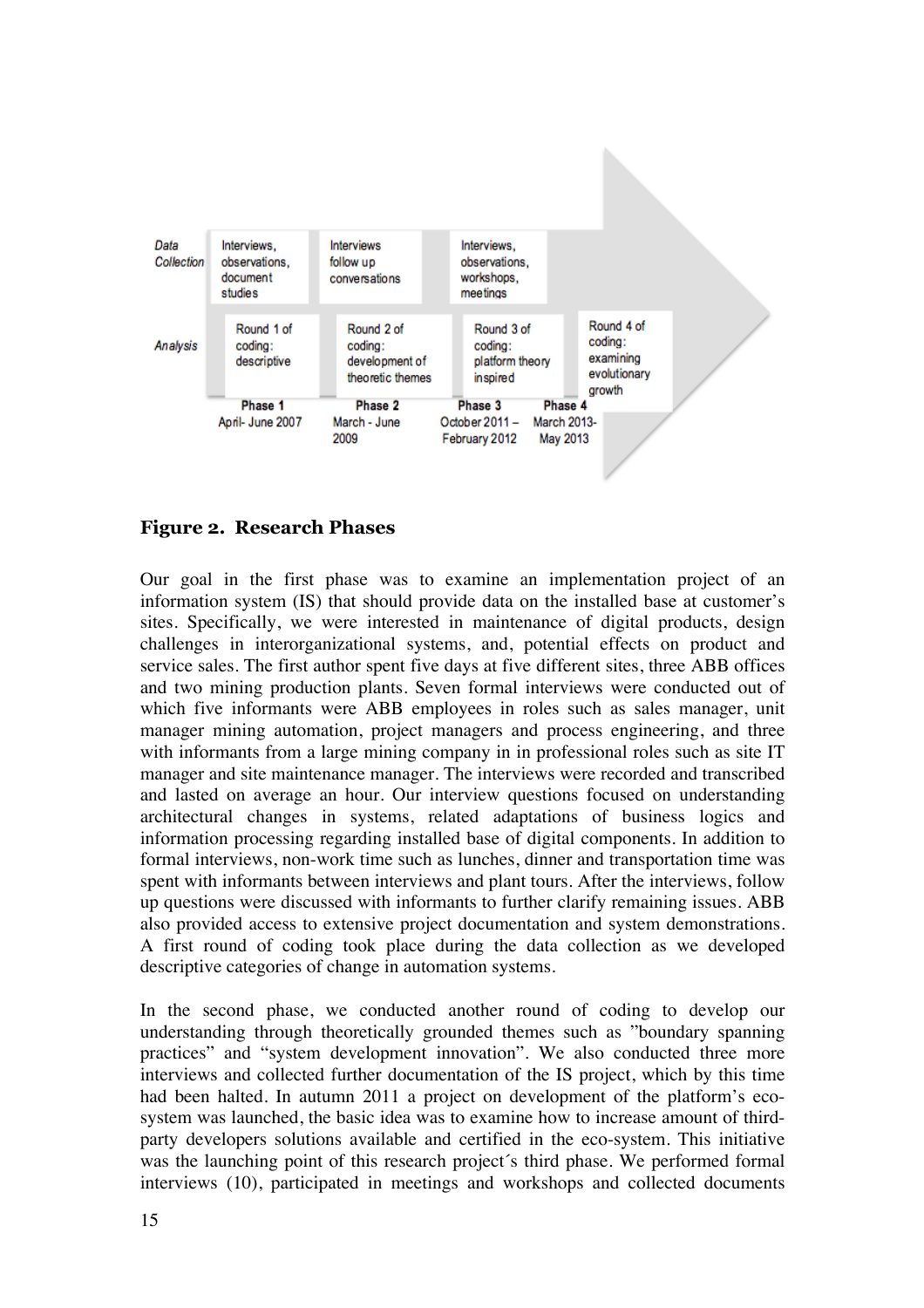

#### **Figure 2. Research Phases**

Our goal in the first phase was to examine an implementation project of an information system (IS) that should provide data on the installed base at customer's sites. Specifically, we were interested in maintenance of digital products, design challenges in interorganizational systems, and, potential effects on product and service sales. The first author spent five days at five different sites, three ABB offices and two mining production plants. Seven formal interviews were conducted out of which five informants were ABB employees in roles such as sales manager, unit manager mining automation, project managers and process engineering, and three with informants from a large mining company in in professional roles such as site IT manager and site maintenance manager. The interviews were recorded and transcribed and lasted on average an hour. Our interview questions focused on understanding architectural changes in systems, related adaptations of business logics and information processing regarding installed base of digital components. In addition to formal interviews, non-work time such as lunches, dinner and transportation time was spent with informants between interviews and plant tours. After the interviews, follow up questions were discussed with informants to further clarify remaining issues. ABB also provided access to extensive project documentation and system demonstrations. A first round of coding took place during the data collection as we developed descriptive categories of change in automation systems.

In the second phase, we conducted another round of coding to develop our understanding through theoretically grounded themes such as "boundary spanning practices" and "system development innovation". We also conducted three more interviews and collected further documentation of the IS project, which by this time had been halted. In autumn 2011 a project on development of the platform's ecosystem was launched, the basic idea was to examine how to increase amount of thirdparty developers solutions available and certified in the eco-system. This initiative was the launching point of this research project´s third phase. We performed formal interviews (10), participated in meetings and workshops and collected documents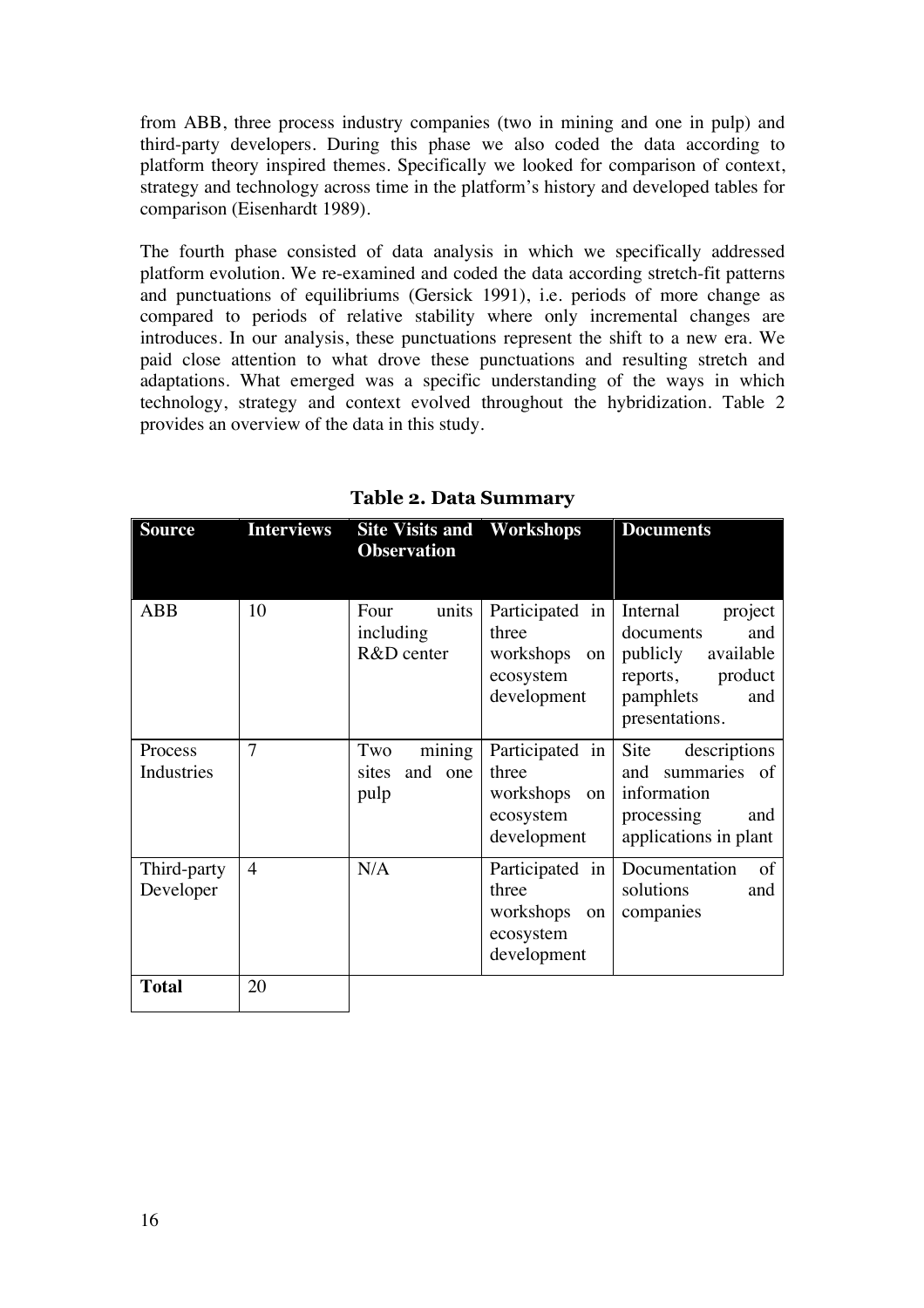from ABB, three process industry companies (two in mining and one in pulp) and third-party developers. During this phase we also coded the data according to platform theory inspired themes. Specifically we looked for comparison of context, strategy and technology across time in the platform's history and developed tables for comparison (Eisenhardt 1989).

The fourth phase consisted of data analysis in which we specifically addressed platform evolution. We re-examined and coded the data according stretch-fit patterns and punctuations of equilibriums (Gersick 1991), i.e. periods of more change as compared to periods of relative stability where only incremental changes are introduces. In our analysis, these punctuations represent the shift to a new era. We paid close attention to what drove these punctuations and resulting stretch and adaptations. What emerged was a specific understanding of the ways in which technology, strategy and context evolved throughout the hybridization. Table 2 provides an overview of the data in this study.

| <b>Source</b>            | <b>Interviews</b> | <b>Site Visits and Workshops</b><br><b>Observation</b> |                                                                                  | <b>Documents</b>                                                                                                  |
|--------------------------|-------------------|--------------------------------------------------------|----------------------------------------------------------------------------------|-------------------------------------------------------------------------------------------------------------------|
| ABB                      | 10                | Four<br>units<br>including<br>R&D center               | Participated in Internal<br>three<br>workshops<br>on<br>ecosystem<br>development | project<br>and<br>documents<br>publicly<br>available<br>product<br>reports,<br>pamphlets<br>and<br>presentations. |
| Process<br>Industries    | 7                 | mining<br>Two<br>and one<br>sites<br>pulp              | Participated in<br>three<br>workshops<br>on<br>ecosystem<br>development          | Site<br>descriptions<br>summaries of<br>and<br>information<br>processing<br>and<br>applications in plant          |
| Third-party<br>Developer | $\overline{4}$    | N/A                                                    | Participated in<br>three<br>workshops<br>on<br>ecosystem<br>development          | Documentation<br>of<br>solutions<br>and<br>companies                                                              |
| <b>Total</b>             | 20                |                                                        |                                                                                  |                                                                                                                   |

**Table 2. Data Summary**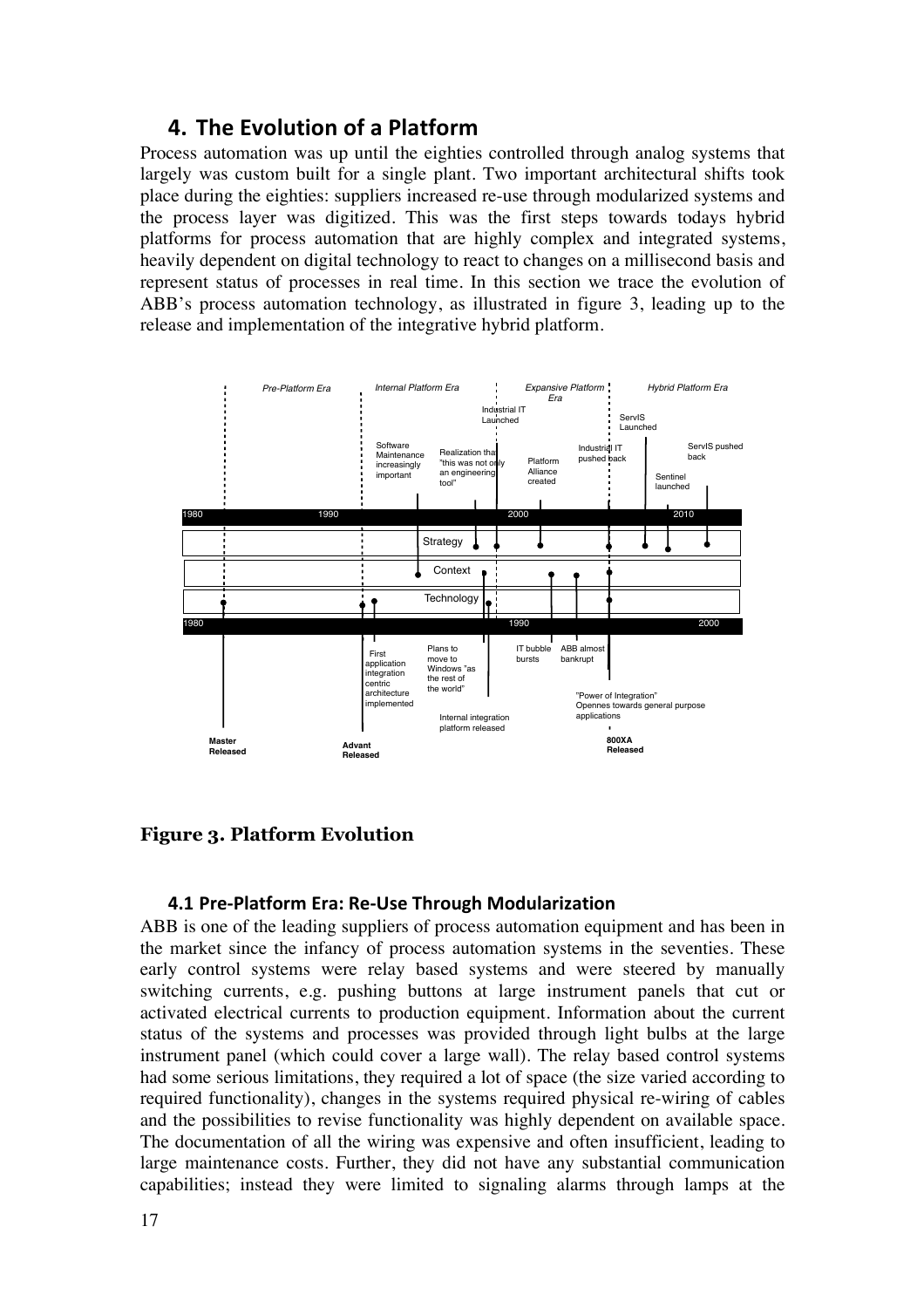### **4. The Evolution of a Platform**

Process automation was up until the eighties controlled through analog systems that largely was custom built for a single plant. Two important architectural shifts took place during the eighties: suppliers increased re-use through modularized systems and the process layer was digitized. This was the first steps towards todays hybrid platforms for process automation that are highly complex and integrated systems, heavily dependent on digital technology to react to changes on a millisecond basis and represent status of processes in real time. In this section we trace the evolution of ABB's process automation technology, as illustrated in figure 3, leading up to the release and implementation of the integrative hybrid platform.



#### **Figure 3. Platform Evolution**

#### **4.1 Pre-Platform Era: Re-Use Through Modularization**

ABB is one of the leading suppliers of process automation equipment and has been in the market since the infancy of process automation systems in the seventies. These early control systems were relay based systems and were steered by manually switching currents, e.g. pushing buttons at large instrument panels that cut or activated electrical currents to production equipment. Information about the current status of the systems and processes was provided through light bulbs at the large instrument panel (which could cover a large wall). The relay based control systems had some serious limitations, they required a lot of space (the size varied according to required functionality), changes in the systems required physical re-wiring of cables and the possibilities to revise functionality was highly dependent on available space. The documentation of all the wiring was expensive and often insufficient, leading to large maintenance costs. Further, they did not have any substantial communication capabilities; instead they were limited to signaling alarms through lamps at the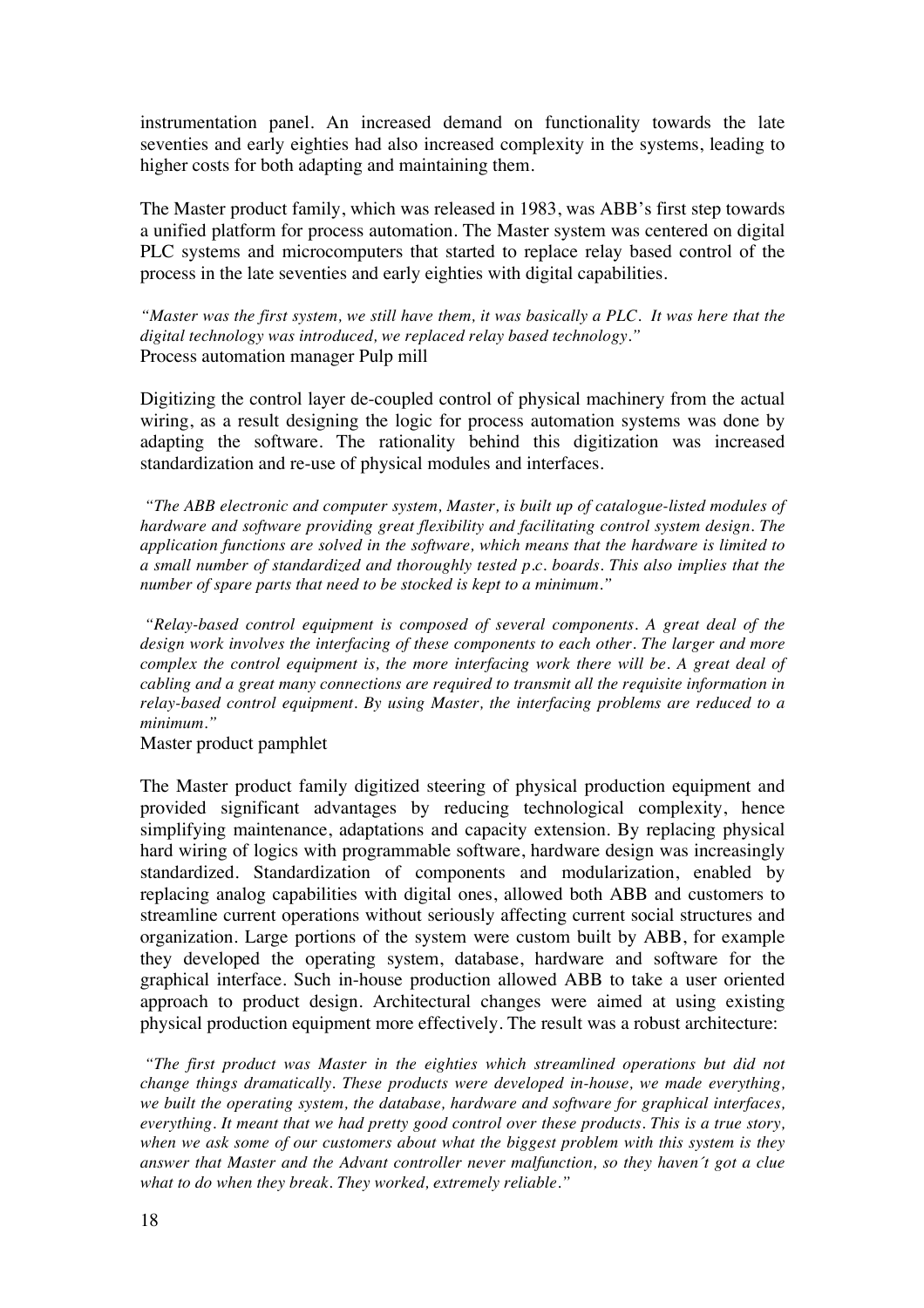instrumentation panel. An increased demand on functionality towards the late seventies and early eighties had also increased complexity in the systems, leading to higher costs for both adapting and maintaining them.

The Master product family, which was released in 1983, was ABB's first step towards a unified platform for process automation. The Master system was centered on digital PLC systems and microcomputers that started to replace relay based control of the process in the late seventies and early eighties with digital capabilities.

*"Master was the first system, we still have them, it was basically a PLC. It was here that the digital technology was introduced, we replaced relay based technology."* Process automation manager Pulp mill

Digitizing the control layer de-coupled control of physical machinery from the actual wiring, as a result designing the logic for process automation systems was done by adapting the software. The rationality behind this digitization was increased standardization and re-use of physical modules and interfaces.

*"The ABB electronic and computer system, Master, is built up of catalogue-listed modules of hardware and software providing great flexibility and facilitating control system design. The application functions are solved in the software, which means that the hardware is limited to a small number of standardized and thoroughly tested p.c. boards. This also implies that the number of spare parts that need to be stocked is kept to a minimum."* 

*"Relay-based control equipment is composed of several components. A great deal of the design work involves the interfacing of these components to each other. The larger and more complex the control equipment is, the more interfacing work there will be. A great deal of cabling and a great many connections are required to transmit all the requisite information in relay-based control equipment. By using Master, the interfacing problems are reduced to a minimum."* 

Master product pamphlet

The Master product family digitized steering of physical production equipment and provided significant advantages by reducing technological complexity, hence simplifying maintenance, adaptations and capacity extension. By replacing physical hard wiring of logics with programmable software, hardware design was increasingly standardized. Standardization of components and modularization, enabled by replacing analog capabilities with digital ones, allowed both ABB and customers to streamline current operations without seriously affecting current social structures and organization. Large portions of the system were custom built by ABB, for example they developed the operating system, database, hardware and software for the graphical interface. Such in-house production allowed ABB to take a user oriented approach to product design. Architectural changes were aimed at using existing physical production equipment more effectively. The result was a robust architecture:

*"The first product was Master in the eighties which streamlined operations but did not change things dramatically. These products were developed in-house, we made everything, we built the operating system, the database, hardware and software for graphical interfaces, everything. It meant that we had pretty good control over these products. This is a true story, when we ask some of our customers about what the biggest problem with this system is they answer that Master and the Advant controller never malfunction, so they haven´t got a clue what to do when they break. They worked, extremely reliable."*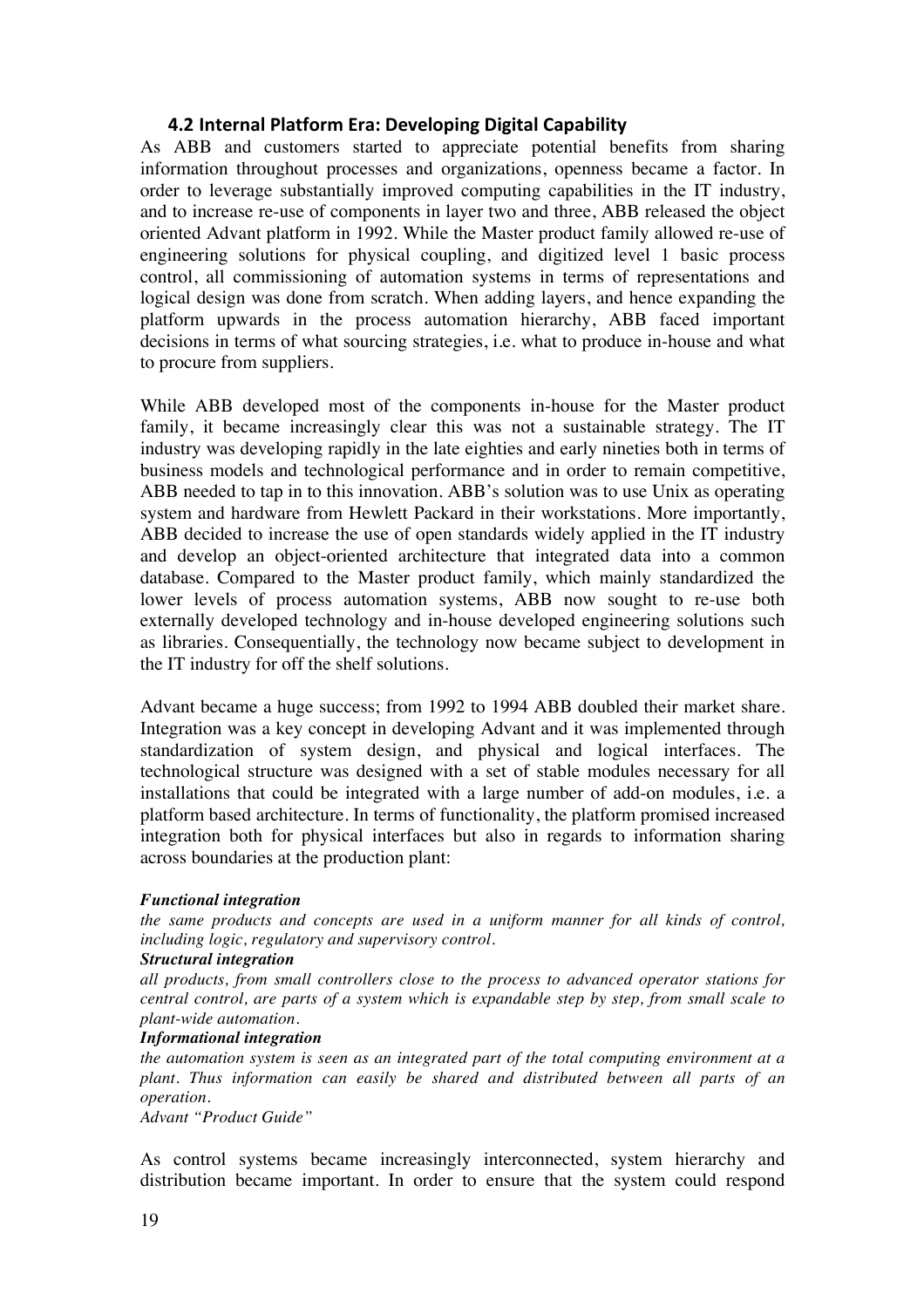#### **4.2 Internal Platform Era: Developing Digital Capability**

As ABB and customers started to appreciate potential benefits from sharing information throughout processes and organizations, openness became a factor. In order to leverage substantially improved computing capabilities in the IT industry, and to increase re-use of components in layer two and three, ABB released the object oriented Advant platform in 1992. While the Master product family allowed re-use of engineering solutions for physical coupling, and digitized level 1 basic process control, all commissioning of automation systems in terms of representations and logical design was done from scratch. When adding layers, and hence expanding the platform upwards in the process automation hierarchy, ABB faced important decisions in terms of what sourcing strategies, i.e. what to produce in-house and what to procure from suppliers.

While ABB developed most of the components in-house for the Master product family, it became increasingly clear this was not a sustainable strategy. The IT industry was developing rapidly in the late eighties and early nineties both in terms of business models and technological performance and in order to remain competitive, ABB needed to tap in to this innovation. ABB's solution was to use Unix as operating system and hardware from Hewlett Packard in their workstations. More importantly, ABB decided to increase the use of open standards widely applied in the IT industry and develop an object-oriented architecture that integrated data into a common database. Compared to the Master product family, which mainly standardized the lower levels of process automation systems, ABB now sought to re-use both externally developed technology and in-house developed engineering solutions such as libraries. Consequentially, the technology now became subject to development in the IT industry for off the shelf solutions.

Advant became a huge success; from 1992 to 1994 ABB doubled their market share. Integration was a key concept in developing Advant and it was implemented through standardization of system design, and physical and logical interfaces. The technological structure was designed with a set of stable modules necessary for all installations that could be integrated with a large number of add-on modules, i.e. a platform based architecture. In terms of functionality, the platform promised increased integration both for physical interfaces but also in regards to information sharing across boundaries at the production plant:

#### *Functional integration*

*the same products and concepts are used in a uniform manner for all kinds of control, including logic, regulatory and supervisory control.*

#### *Structural integration*

*all products, from small controllers close to the process to advanced operator stations for central control, are parts of a system which is expandable step by step, from small scale to plant-wide automation.*

#### *Informational integration*

*the automation system is seen as an integrated part of the total computing environment at a plant. Thus information can easily be shared and distributed between all parts of an operation.*

*Advant "Product Guide"*

As control systems became increasingly interconnected, system hierarchy and distribution became important. In order to ensure that the system could respond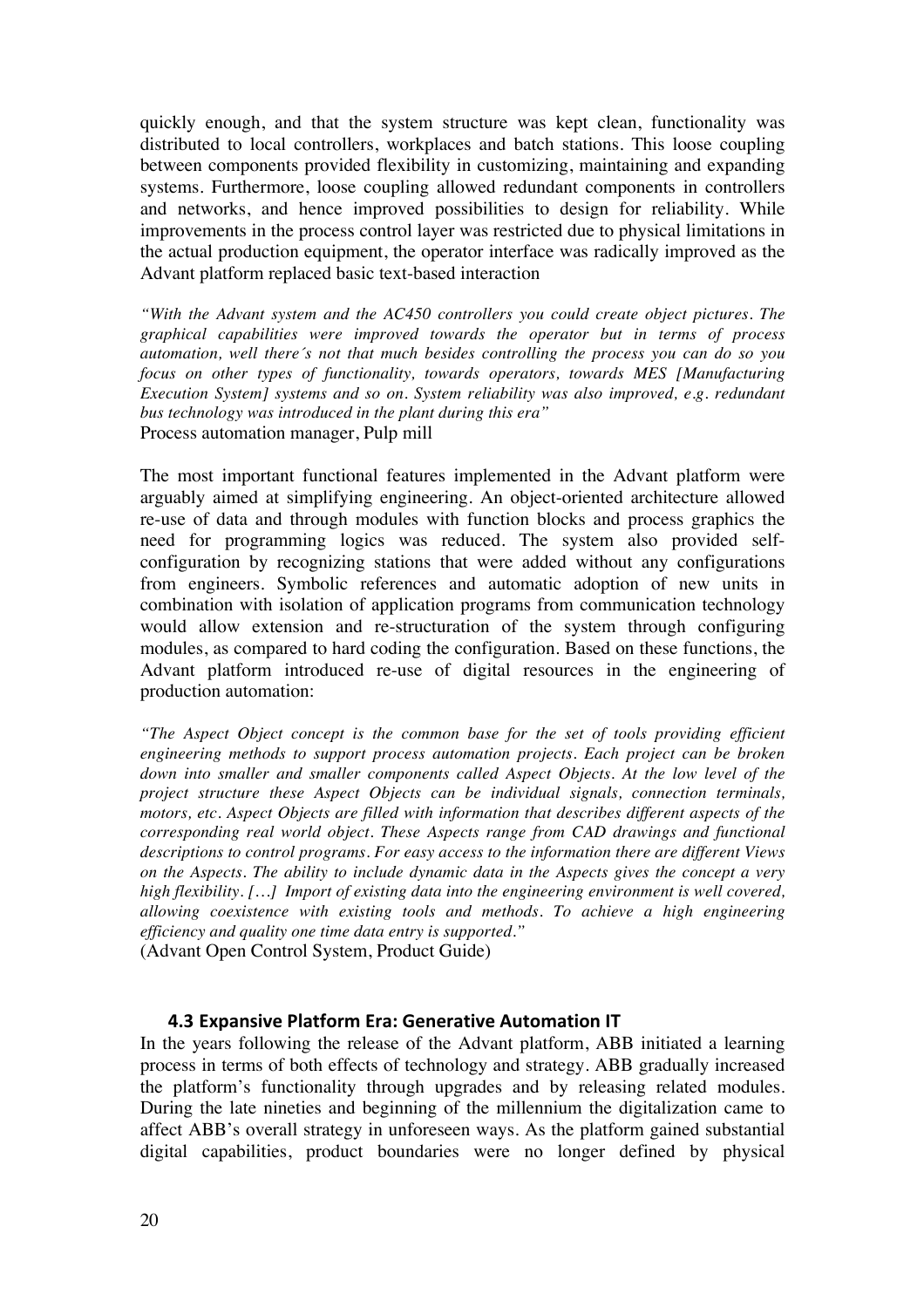quickly enough, and that the system structure was kept clean, functionality was distributed to local controllers, workplaces and batch stations. This loose coupling between components provided flexibility in customizing, maintaining and expanding systems. Furthermore, loose coupling allowed redundant components in controllers and networks, and hence improved possibilities to design for reliability. While improvements in the process control layer was restricted due to physical limitations in the actual production equipment, the operator interface was radically improved as the Advant platform replaced basic text-based interaction

*"With the Advant system and the AC450 controllers you could create object pictures. The graphical capabilities were improved towards the operator but in terms of process automation, well there´s not that much besides controlling the process you can do so you focus on other types of functionality, towards operators, towards MES [Manufacturing Execution System] systems and so on. System reliability was also improved, e.g. redundant bus technology was introduced in the plant during this era"* Process automation manager, Pulp mill

The most important functional features implemented in the Advant platform were arguably aimed at simplifying engineering. An object-oriented architecture allowed re-use of data and through modules with function blocks and process graphics the need for programming logics was reduced. The system also provided selfconfiguration by recognizing stations that were added without any configurations from engineers. Symbolic references and automatic adoption of new units in combination with isolation of application programs from communication technology would allow extension and re-structuration of the system through configuring modules, as compared to hard coding the configuration. Based on these functions, the Advant platform introduced re-use of digital resources in the engineering of production automation:

*"The Aspect Object concept is the common base for the set of tools providing efficient engineering methods to support process automation projects. Each project can be broken*  down into smaller and smaller components called Aspect Objects. At the low level of the *project structure these Aspect Objects can be individual signals, connection terminals, motors, etc. Aspect Objects are filled with information that describes different aspects of the corresponding real world object. These Aspects range from CAD drawings and functional descriptions to control programs. For easy access to the information there are different Views on the Aspects. The ability to include dynamic data in the Aspects gives the concept a very high flexibility. […] Import of existing data into the engineering environment is well covered, allowing coexistence with existing tools and methods. To achieve a high engineering efficiency and quality one time data entry is supported."*  (Advant Open Control System, Product Guide)

#### **4.3 Expansive Platform Era: Generative Automation IT**

In the years following the release of the Advant platform, ABB initiated a learning process in terms of both effects of technology and strategy. ABB gradually increased the platform's functionality through upgrades and by releasing related modules. During the late nineties and beginning of the millennium the digitalization came to affect ABB's overall strategy in unforeseen ways. As the platform gained substantial digital capabilities, product boundaries were no longer defined by physical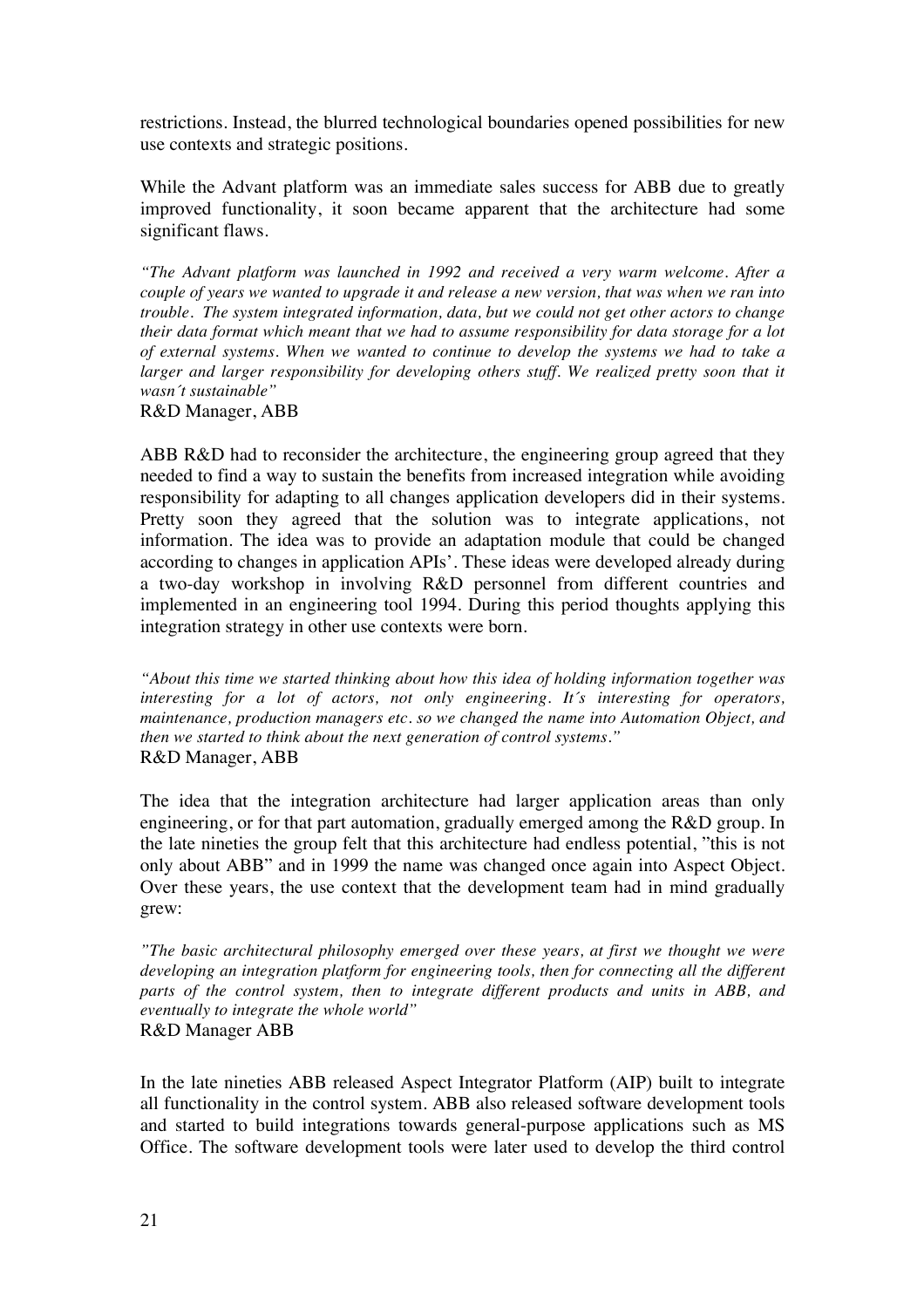restrictions. Instead, the blurred technological boundaries opened possibilities for new use contexts and strategic positions.

While the Advant platform was an immediate sales success for ABB due to greatly improved functionality, it soon became apparent that the architecture had some significant flaws.

*"The Advant platform was launched in 1992 and received a very warm welcome. After a couple of years we wanted to upgrade it and release a new version, that was when we ran into trouble. The system integrated information, data, but we could not get other actors to change their data format which meant that we had to assume responsibility for data storage for a lot of external systems. When we wanted to continue to develop the systems we had to take a*  larger and larger responsibility for developing others stuff. We realized pretty soon that it *wasn´t sustainable"*

R&D Manager, ABB

ABB R&D had to reconsider the architecture, the engineering group agreed that they needed to find a way to sustain the benefits from increased integration while avoiding responsibility for adapting to all changes application developers did in their systems. Pretty soon they agreed that the solution was to integrate applications, not information. The idea was to provide an adaptation module that could be changed according to changes in application APIs'. These ideas were developed already during a two-day workshop in involving R&D personnel from different countries and implemented in an engineering tool 1994. During this period thoughts applying this integration strategy in other use contexts were born.

*"About this time we started thinking about how this idea of holding information together was interesting for a lot of actors, not only engineering. It´s interesting for operators, maintenance, production managers etc. so we changed the name into Automation Object, and then we started to think about the next generation of control systems."* R&D Manager, ABB

The idea that the integration architecture had larger application areas than only engineering, or for that part automation, gradually emerged among the R&D group. In the late nineties the group felt that this architecture had endless potential, "this is not only about ABB" and in 1999 the name was changed once again into Aspect Object. Over these years, the use context that the development team had in mind gradually grew:

*"The basic architectural philosophy emerged over these years, at first we thought we were developing an integration platform for engineering tools, then for connecting all the different parts of the control system, then to integrate different products and units in ABB, and eventually to integrate the whole world"* R&D Manager ABB

In the late nineties ABB released Aspect Integrator Platform (AIP) built to integrate all functionality in the control system. ABB also released software development tools and started to build integrations towards general-purpose applications such as MS Office. The software development tools were later used to develop the third control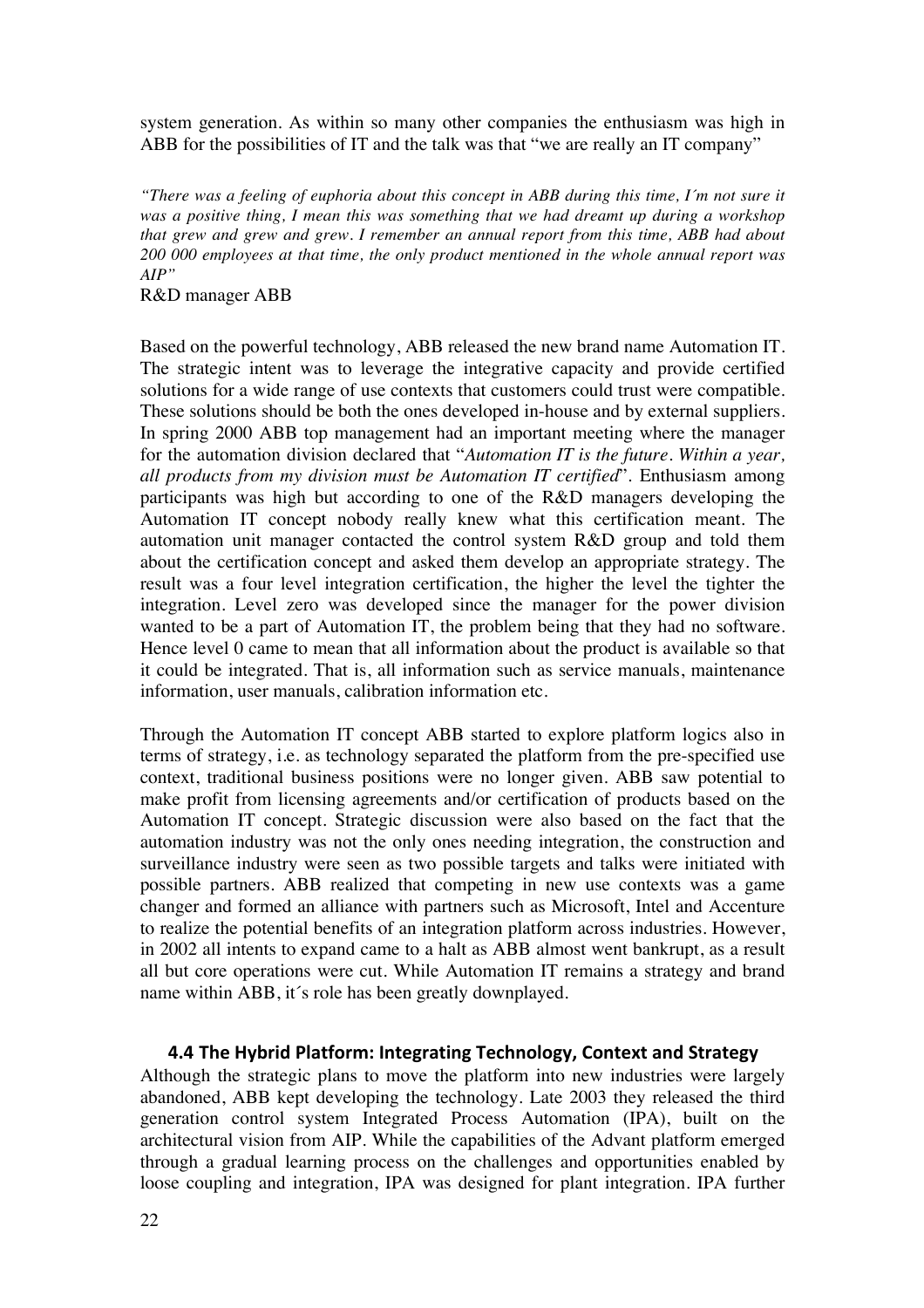system generation. As within so many other companies the enthusiasm was high in ABB for the possibilities of IT and the talk was that "we are really an IT company"

*"There was a feeling of euphoria about this concept in ABB during this time, I´m not sure it was a positive thing, I mean this was something that we had dreamt up during a workshop that grew and grew and grew. I remember an annual report from this time, ABB had about 200 000 employees at that time, the only product mentioned in the whole annual report was AIP"*

R&D manager ABB

Based on the powerful technology, ABB released the new brand name Automation IT. The strategic intent was to leverage the integrative capacity and provide certified solutions for a wide range of use contexts that customers could trust were compatible. These solutions should be both the ones developed in-house and by external suppliers. In spring 2000 ABB top management had an important meeting where the manager for the automation division declared that "*Automation IT is the future. Within a year, all products from my division must be Automation IT certified*". Enthusiasm among participants was high but according to one of the R&D managers developing the Automation IT concept nobody really knew what this certification meant. The automation unit manager contacted the control system R&D group and told them about the certification concept and asked them develop an appropriate strategy. The result was a four level integration certification, the higher the level the tighter the integration. Level zero was developed since the manager for the power division wanted to be a part of Automation IT, the problem being that they had no software. Hence level 0 came to mean that all information about the product is available so that it could be integrated. That is, all information such as service manuals, maintenance information, user manuals, calibration information etc.

Through the Automation IT concept ABB started to explore platform logics also in terms of strategy, i.e. as technology separated the platform from the pre-specified use context, traditional business positions were no longer given. ABB saw potential to make profit from licensing agreements and/or certification of products based on the Automation IT concept. Strategic discussion were also based on the fact that the automation industry was not the only ones needing integration, the construction and surveillance industry were seen as two possible targets and talks were initiated with possible partners. ABB realized that competing in new use contexts was a game changer and formed an alliance with partners such as Microsoft, Intel and Accenture to realize the potential benefits of an integration platform across industries. However, in 2002 all intents to expand came to a halt as ABB almost went bankrupt, as a result all but core operations were cut. While Automation IT remains a strategy and brand name within ABB, it´s role has been greatly downplayed.

#### **4.4 The Hybrid Platform: Integrating Technology, Context and Strategy**

Although the strategic plans to move the platform into new industries were largely abandoned, ABB kept developing the technology. Late 2003 they released the third generation control system Integrated Process Automation (IPA), built on the architectural vision from AIP. While the capabilities of the Advant platform emerged through a gradual learning process on the challenges and opportunities enabled by loose coupling and integration, IPA was designed for plant integration. IPA further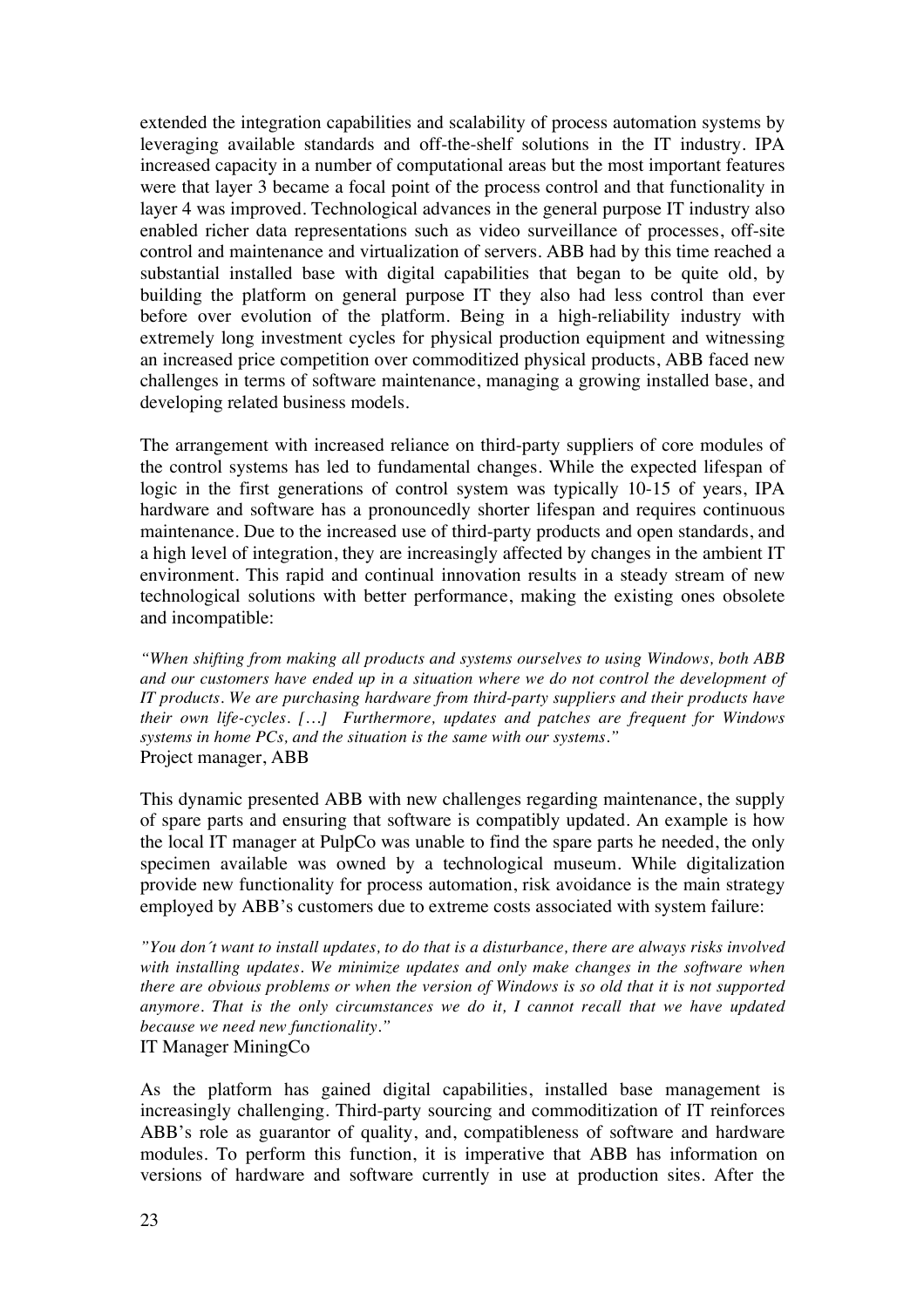extended the integration capabilities and scalability of process automation systems by leveraging available standards and off-the-shelf solutions in the IT industry. IPA increased capacity in a number of computational areas but the most important features were that layer 3 became a focal point of the process control and that functionality in layer 4 was improved. Technological advances in the general purpose IT industry also enabled richer data representations such as video surveillance of processes, off-site control and maintenance and virtualization of servers. ABB had by this time reached a substantial installed base with digital capabilities that began to be quite old, by building the platform on general purpose IT they also had less control than ever before over evolution of the platform. Being in a high-reliability industry with extremely long investment cycles for physical production equipment and witnessing an increased price competition over commoditized physical products, ABB faced new challenges in terms of software maintenance, managing a growing installed base, and developing related business models.

The arrangement with increased reliance on third-party suppliers of core modules of the control systems has led to fundamental changes. While the expected lifespan of logic in the first generations of control system was typically 10-15 of years, IPA hardware and software has a pronouncedly shorter lifespan and requires continuous maintenance. Due to the increased use of third-party products and open standards, and a high level of integration, they are increasingly affected by changes in the ambient IT environment. This rapid and continual innovation results in a steady stream of new technological solutions with better performance, making the existing ones obsolete and incompatible:

*"When shifting from making all products and systems ourselves to using Windows, both ABB and our customers have ended up in a situation where we do not control the development of IT products. We are purchasing hardware from third-party suppliers and their products have their own life-cycles. […] Furthermore, updates and patches are frequent for Windows systems in home PCs, and the situation is the same with our systems."*  Project manager, ABB

This dynamic presented ABB with new challenges regarding maintenance, the supply of spare parts and ensuring that software is compatibly updated. An example is how the local IT manager at PulpCo was unable to find the spare parts he needed, the only specimen available was owned by a technological museum. While digitalization provide new functionality for process automation, risk avoidance is the main strategy employed by ABB's customers due to extreme costs associated with system failure:

*"You don´t want to install updates, to do that is a disturbance, there are always risks involved with installing updates. We minimize updates and only make changes in the software when there are obvious problems or when the version of Windows is so old that it is not supported anymore. That is the only circumstances we do it, I cannot recall that we have updated because we need new functionality."* IT Manager MiningCo

As the platform has gained digital capabilities, installed base management is increasingly challenging. Third-party sourcing and commoditization of IT reinforces ABB's role as guarantor of quality, and, compatibleness of software and hardware modules. To perform this function, it is imperative that ABB has information on versions of hardware and software currently in use at production sites. After the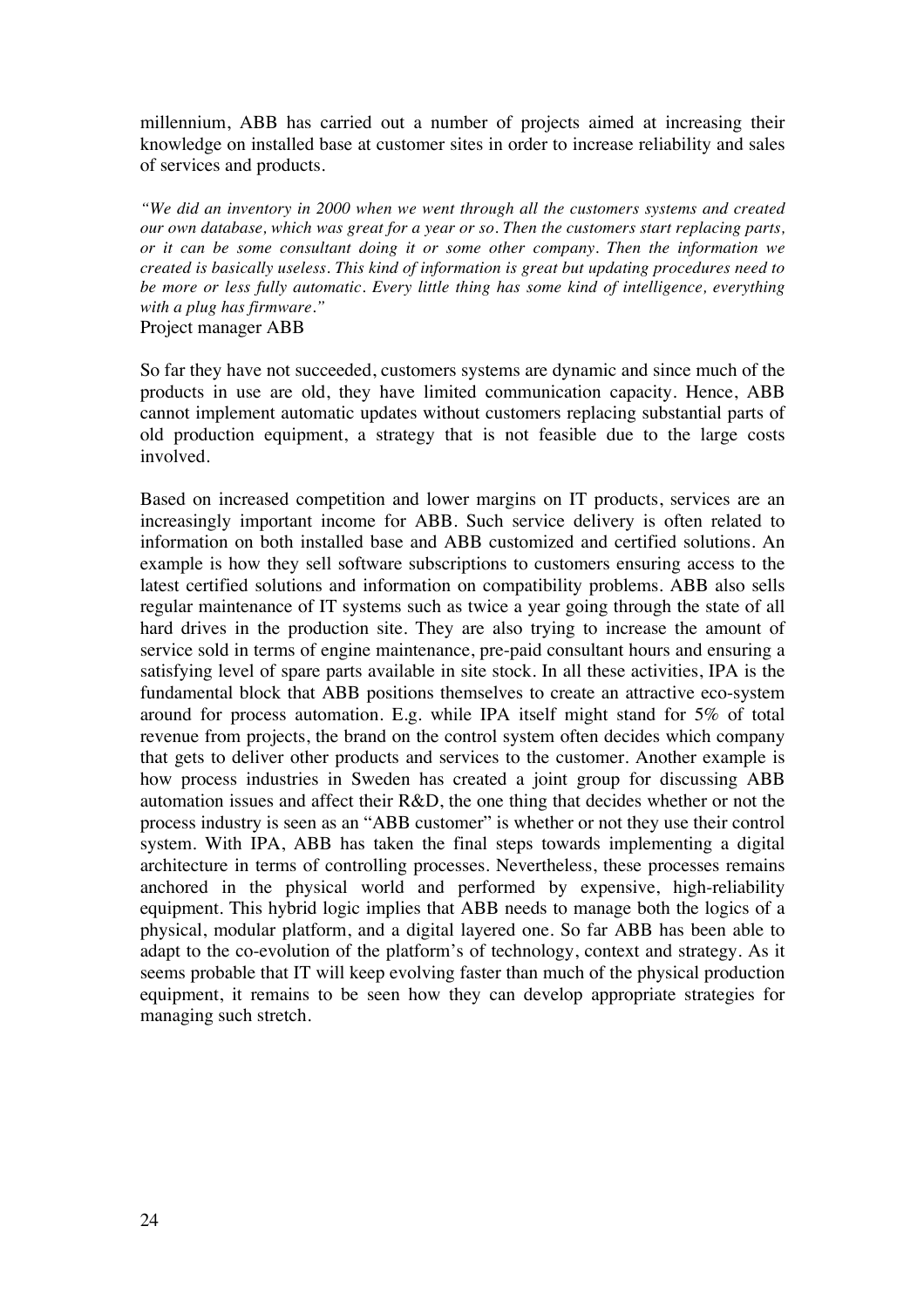millennium, ABB has carried out a number of projects aimed at increasing their knowledge on installed base at customer sites in order to increase reliability and sales of services and products.

*"We did an inventory in 2000 when we went through all the customers systems and created our own database, which was great for a year or so. Then the customers start replacing parts, or it can be some consultant doing it or some other company. Then the information we created is basically useless. This kind of information is great but updating procedures need to be more or less fully automatic. Every little thing has some kind of intelligence, everything with a plug has firmware."*

Project manager ABB

So far they have not succeeded, customers systems are dynamic and since much of the products in use are old, they have limited communication capacity. Hence, ABB cannot implement automatic updates without customers replacing substantial parts of old production equipment, a strategy that is not feasible due to the large costs involved.

Based on increased competition and lower margins on IT products, services are an increasingly important income for ABB. Such service delivery is often related to information on both installed base and ABB customized and certified solutions. An example is how they sell software subscriptions to customers ensuring access to the latest certified solutions and information on compatibility problems. ABB also sells regular maintenance of IT systems such as twice a year going through the state of all hard drives in the production site. They are also trying to increase the amount of service sold in terms of engine maintenance, pre-paid consultant hours and ensuring a satisfying level of spare parts available in site stock. In all these activities, IPA is the fundamental block that ABB positions themselves to create an attractive eco-system around for process automation. E.g. while IPA itself might stand for 5% of total revenue from projects, the brand on the control system often decides which company that gets to deliver other products and services to the customer. Another example is how process industries in Sweden has created a joint group for discussing ABB automation issues and affect their R&D, the one thing that decides whether or not the process industry is seen as an "ABB customer" is whether or not they use their control system. With IPA, ABB has taken the final steps towards implementing a digital architecture in terms of controlling processes. Nevertheless, these processes remains anchored in the physical world and performed by expensive, high-reliability equipment. This hybrid logic implies that ABB needs to manage both the logics of a physical, modular platform, and a digital layered one. So far ABB has been able to adapt to the co-evolution of the platform's of technology, context and strategy. As it seems probable that IT will keep evolving faster than much of the physical production equipment, it remains to be seen how they can develop appropriate strategies for managing such stretch.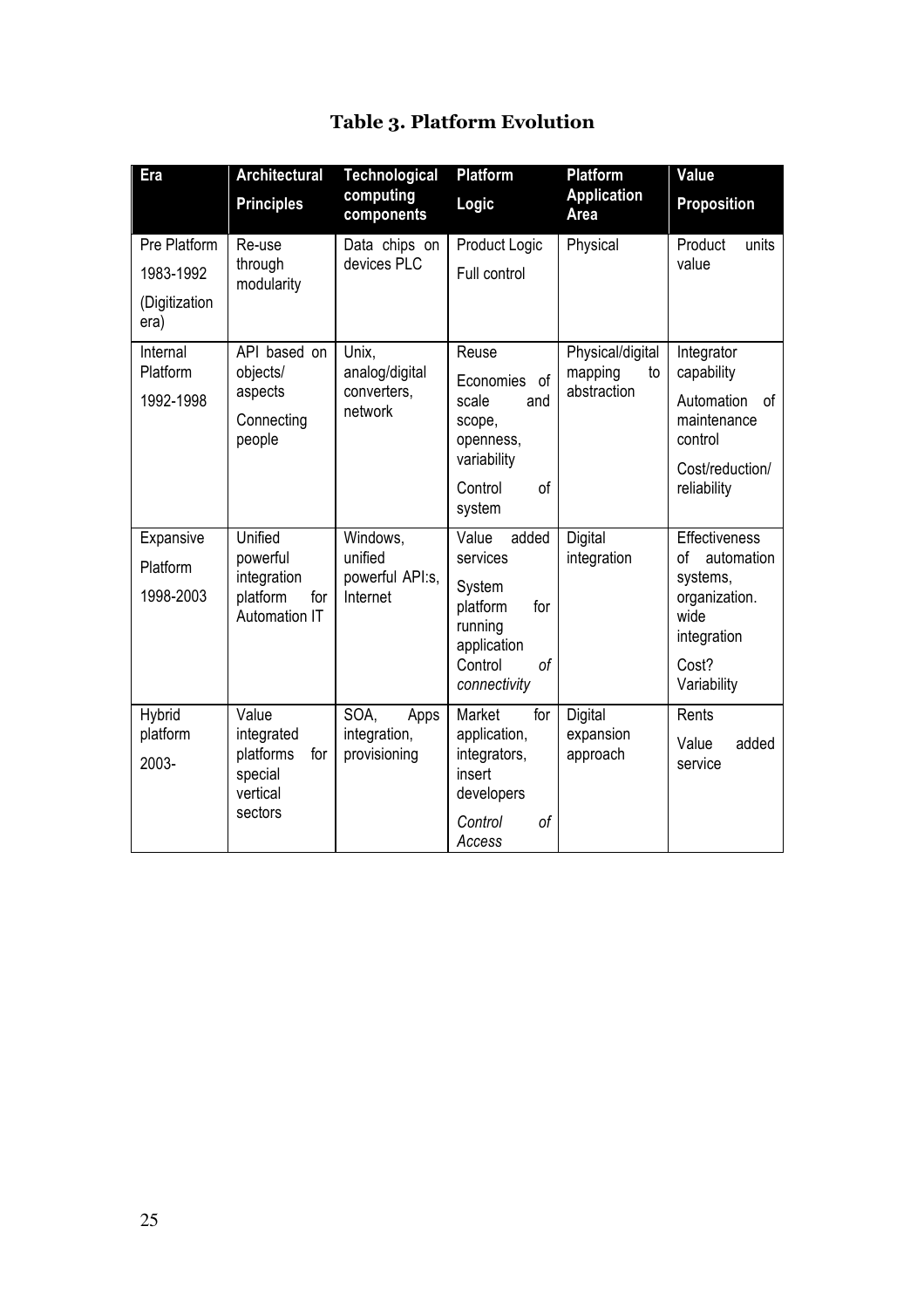| Era                   | <b>Architectural</b>           | <b>Technological</b>          | <b>Platform</b>              | <b>Platform</b>              | Value                           |
|-----------------------|--------------------------------|-------------------------------|------------------------------|------------------------------|---------------------------------|
|                       | <b>Principles</b>              | computing<br>components       | Logic                        | <b>Application</b><br>Area   | <b>Proposition</b>              |
| Pre Platform          | Re-use                         | Data chips on                 | Product Logic                | Physical                     | Product<br>units                |
| 1983-1992             | through<br>modularity          | devices PLC                   | Full control                 |                              | value                           |
| (Digitization<br>era) |                                |                               |                              |                              |                                 |
| Internal              | API based on                   | Unix,                         | Reuse                        | Physical/digital             | Integrator                      |
| Platform              | objects/<br>aspects            | analog/digital<br>converters, | Economies<br>of              | mapping<br>to<br>abstraction | capability                      |
| 1992-1998             | Connecting                     | network                       | scale<br>and<br>scope,       |                              | Automation<br>οf<br>maintenance |
|                       | people                         |                               | openness,                    |                              | control                         |
|                       |                                |                               | variability                  |                              | Cost/reduction/                 |
|                       |                                |                               | of<br>Control<br>system      |                              | reliability                     |
| Expansive             | Unified                        | Windows,                      | Value<br>added               | Digital                      | Effectiveness                   |
| Platform              | powerful<br>integration        | unified                       | services<br>powerful API:s,  | integration                  | of<br>automation                |
| 1998-2003             | platform<br>for                | Internet                      | System<br>platform<br>for    |                              | systems,<br>organization.       |
|                       | Automation IT                  |                               | running                      |                              | wide<br>integration             |
|                       |                                |                               | application<br>Control<br>0f |                              | Cost?                           |
|                       |                                |                               | connectivity                 |                              | Variability                     |
| Hybrid                | Value                          | SOA,<br>Apps                  | Market<br>for                | Digital                      | Rents                           |
| platform              | integrated<br>platforms<br>for | integration,<br>provisioning  | application,<br>integrators, | expansion<br>approach        | Value<br>added                  |
| 2003-                 | special                        |                               | insert                       |                              | service                         |
|                       | vertical<br>sectors            |                               | developers                   |                              |                                 |
|                       |                                |                               | Control<br>of<br>Access      |                              |                                 |

# **Table 3. Platform Evolution**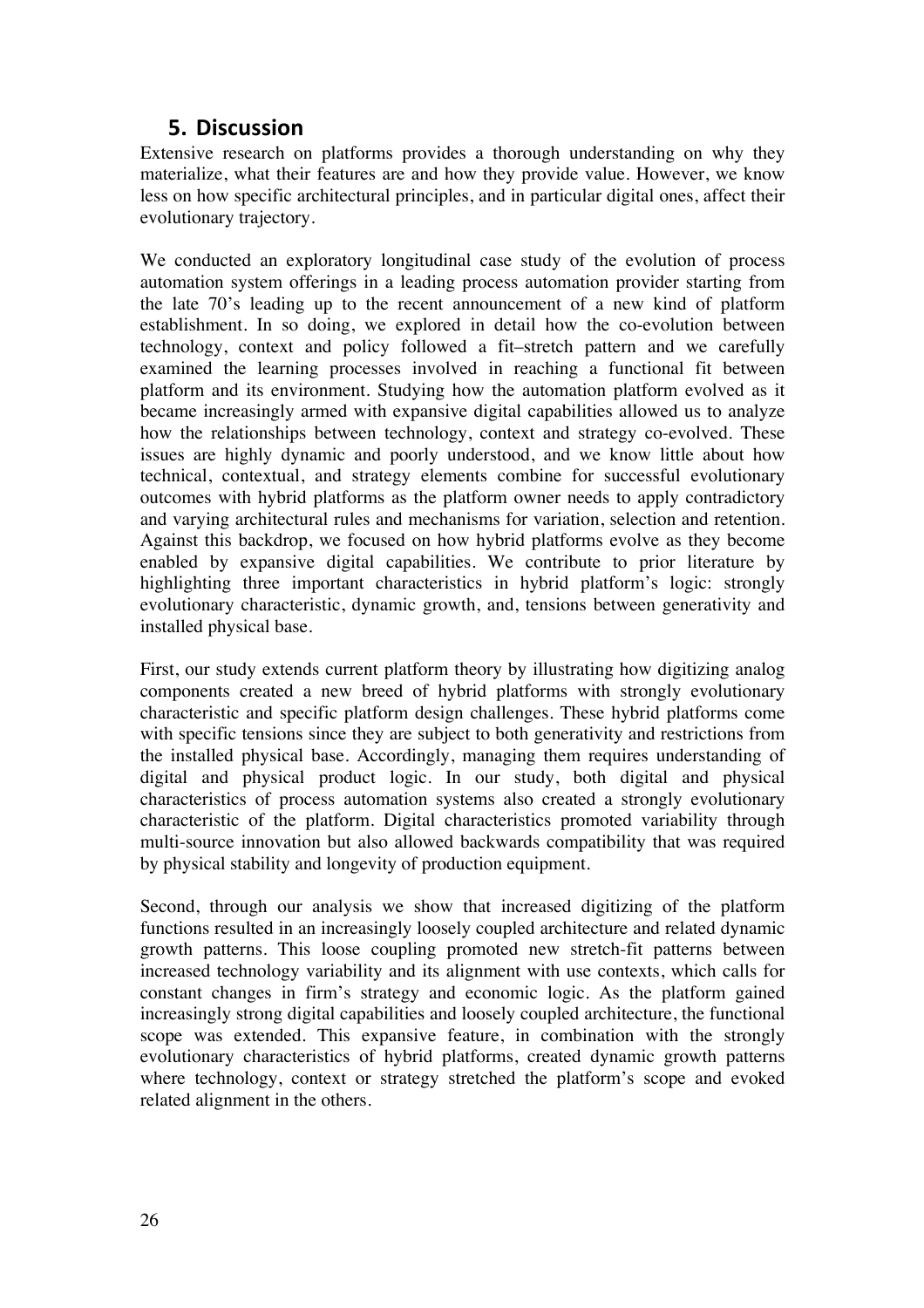## **5. Discussion**

Extensive research on platforms provides a thorough understanding on why they materialize, what their features are and how they provide value. However, we know less on how specific architectural principles, and in particular digital ones, affect their evolutionary trajectory.

We conducted an exploratory longitudinal case study of the evolution of process automation system offerings in a leading process automation provider starting from the late 70's leading up to the recent announcement of a new kind of platform establishment. In so doing, we explored in detail how the co-evolution between technology, context and policy followed a fit–stretch pattern and we carefully examined the learning processes involved in reaching a functional fit between platform and its environment. Studying how the automation platform evolved as it became increasingly armed with expansive digital capabilities allowed us to analyze how the relationships between technology, context and strategy co-evolved. These issues are highly dynamic and poorly understood, and we know little about how technical, contextual, and strategy elements combine for successful evolutionary outcomes with hybrid platforms as the platform owner needs to apply contradictory and varying architectural rules and mechanisms for variation, selection and retention. Against this backdrop, we focused on how hybrid platforms evolve as they become enabled by expansive digital capabilities. We contribute to prior literature by highlighting three important characteristics in hybrid platform's logic: strongly evolutionary characteristic, dynamic growth, and, tensions between generativity and installed physical base.

First, our study extends current platform theory by illustrating how digitizing analog components created a new breed of hybrid platforms with strongly evolutionary characteristic and specific platform design challenges. These hybrid platforms come with specific tensions since they are subject to both generativity and restrictions from the installed physical base. Accordingly, managing them requires understanding of digital and physical product logic. In our study, both digital and physical characteristics of process automation systems also created a strongly evolutionary characteristic of the platform. Digital characteristics promoted variability through multi-source innovation but also allowed backwards compatibility that was required by physical stability and longevity of production equipment.

Second, through our analysis we show that increased digitizing of the platform functions resulted in an increasingly loosely coupled architecture and related dynamic growth patterns. This loose coupling promoted new stretch-fit patterns between increased technology variability and its alignment with use contexts, which calls for constant changes in firm's strategy and economic logic. As the platform gained increasingly strong digital capabilities and loosely coupled architecture, the functional scope was extended. This expansive feature, in combination with the strongly evolutionary characteristics of hybrid platforms, created dynamic growth patterns where technology, context or strategy stretched the platform's scope and evoked related alignment in the others.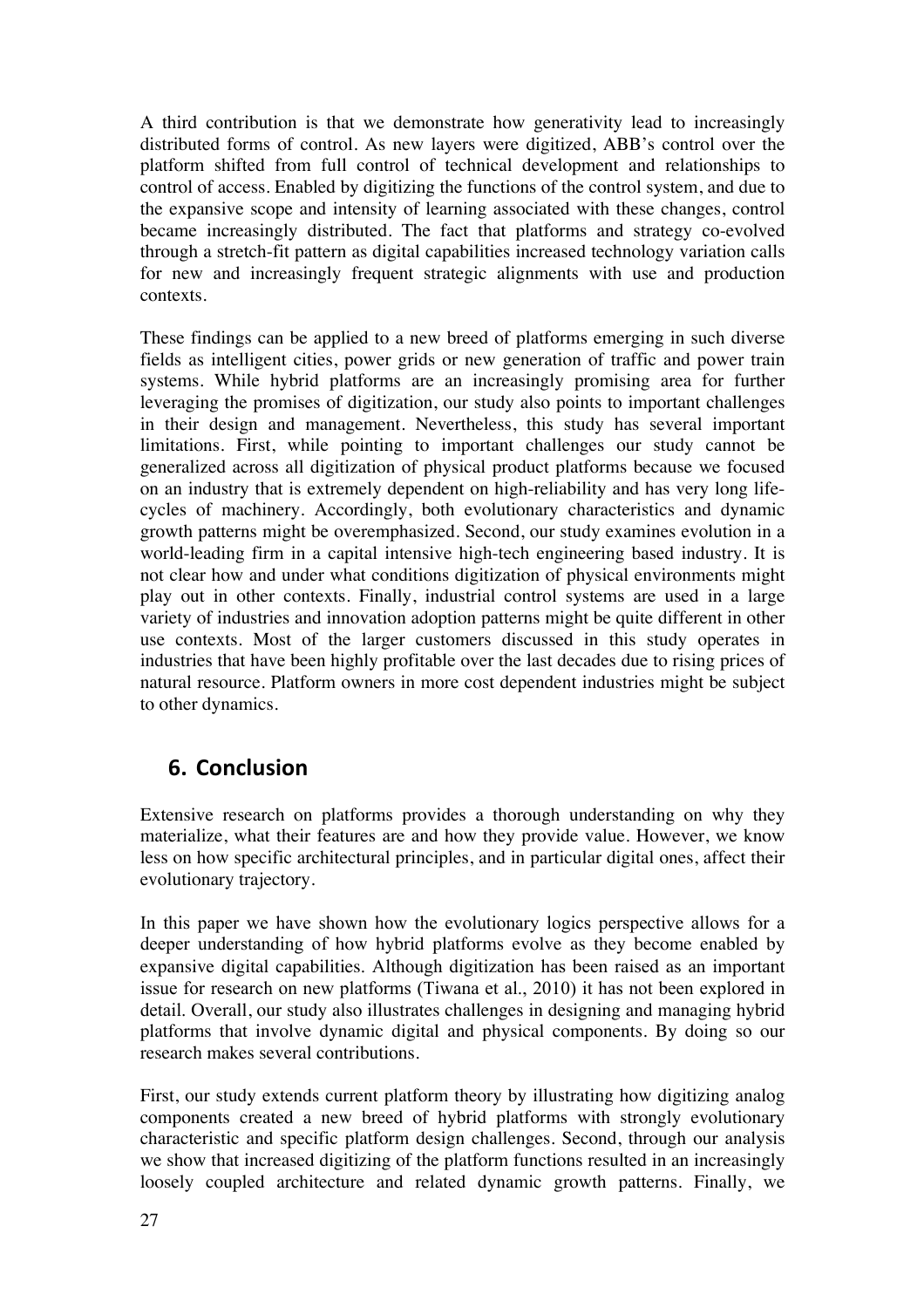A third contribution is that we demonstrate how generativity lead to increasingly distributed forms of control. As new layers were digitized, ABB's control over the platform shifted from full control of technical development and relationships to control of access. Enabled by digitizing the functions of the control system, and due to the expansive scope and intensity of learning associated with these changes, control became increasingly distributed. The fact that platforms and strategy co-evolved through a stretch-fit pattern as digital capabilities increased technology variation calls for new and increasingly frequent strategic alignments with use and production contexts.

These findings can be applied to a new breed of platforms emerging in such diverse fields as intelligent cities, power grids or new generation of traffic and power train systems. While hybrid platforms are an increasingly promising area for further leveraging the promises of digitization, our study also points to important challenges in their design and management. Nevertheless, this study has several important limitations. First, while pointing to important challenges our study cannot be generalized across all digitization of physical product platforms because we focused on an industry that is extremely dependent on high-reliability and has very long lifecycles of machinery. Accordingly, both evolutionary characteristics and dynamic growth patterns might be overemphasized. Second, our study examines evolution in a world-leading firm in a capital intensive high-tech engineering based industry. It is not clear how and under what conditions digitization of physical environments might play out in other contexts. Finally, industrial control systems are used in a large variety of industries and innovation adoption patterns might be quite different in other use contexts. Most of the larger customers discussed in this study operates in industries that have been highly profitable over the last decades due to rising prices of natural resource. Platform owners in more cost dependent industries might be subject to other dynamics.

## **6. Conclusion**

Extensive research on platforms provides a thorough understanding on why they materialize, what their features are and how they provide value. However, we know less on how specific architectural principles, and in particular digital ones, affect their evolutionary trajectory.

In this paper we have shown how the evolutionary logics perspective allows for a deeper understanding of how hybrid platforms evolve as they become enabled by expansive digital capabilities. Although digitization has been raised as an important issue for research on new platforms (Tiwana et al., 2010) it has not been explored in detail. Overall, our study also illustrates challenges in designing and managing hybrid platforms that involve dynamic digital and physical components. By doing so our research makes several contributions.

First, our study extends current platform theory by illustrating how digitizing analog components created a new breed of hybrid platforms with strongly evolutionary characteristic and specific platform design challenges. Second, through our analysis we show that increased digitizing of the platform functions resulted in an increasingly loosely coupled architecture and related dynamic growth patterns. Finally, we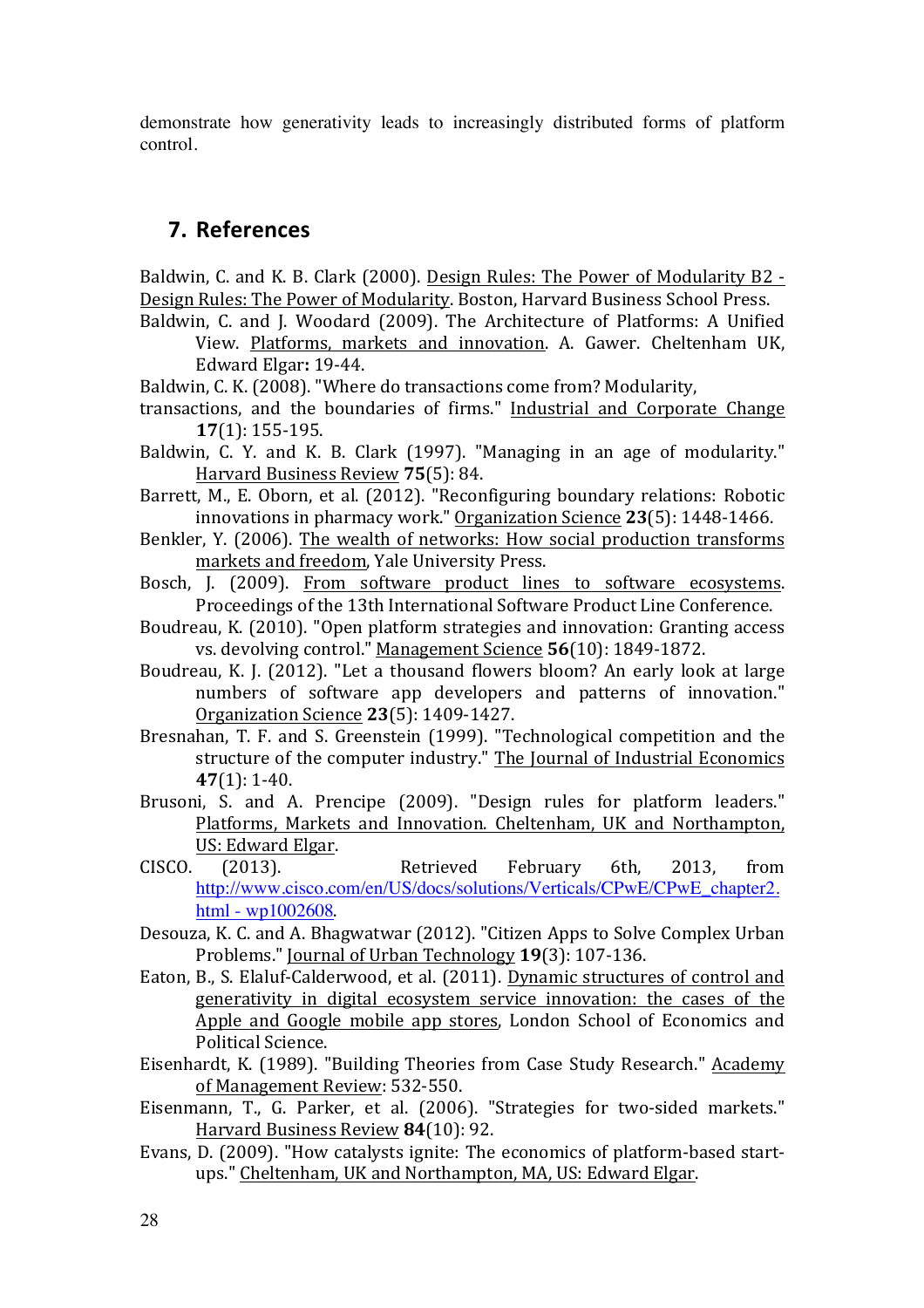demonstrate how generativity leads to increasingly distributed forms of platform control.

## **7. References**

Baldwin, C. and K. B. Clark (2000). Design Rules: The Power of Modularity B2 -Design Rules: The Power of Modularity. Boston, Harvard Business School Press.

Baldwin, C. and J. Woodard (2009). The Architecture of Platforms: A Unified View. Platforms, markets and innovation. A. Gawer. Cheltenham UK, Edward Elgar**:** 19-44.

Baldwin, C. K. (2008). "Where do transactions come from? Modularity,

- transactions, and the boundaries of firms." Industrial and Corporate Change **17**(1): 155-195.
- Baldwin, C. Y. and K. B. Clark (1997). "Managing in an age of modularity." Harvard Business Review 75(5): 84.
- Barrett, M., E. Oborn, et al. (2012). "Reconfiguring boundary relations: Robotic innovations in pharmacy work." Organization Science 23(5): 1448-1466.
- Benkler, Y. (2006). The wealth of networks: How social production transforms markets and freedom, Yale University Press.
- Bosch, J. (2009). From software product lines to software ecosystems. Proceedings of the 13th International Software Product Line Conference.
- Boudreau, K. (2010). "Open platform strategies and innovation: Granting access vs. devolving control." Management Science **56**(10): 1849-1872.
- Boudreau, K. J. (2012). "Let a thousand flowers bloom? An early look at large numbers of software app developers and patterns of innovation." Organization Science **23**(5): 1409-1427.
- Bresnahan, T. F. and S. Greenstein (1999). "Technological competition and the structure of the computer industry." The Journal of Industrial Economics **47**(1): 1-40.
- Brusoni, S. and A. Prencipe (2009). "Design rules for platform leaders." Platforms, Markets and Innovation. Cheltenham, UK and Northampton, US: Edward Elgar.
- CISCO. (2013). Retrieved February 6th, 2013, from http://www.cisco.com/en/US/docs/solutions/Verticals/CPwE/CPwE\_chapter2. html - wp1002608.
- Desouza, K. C. and A. Bhagwatwar (2012). "Citizen Apps to Solve Complex Urban Problems." Journal of Urban Technology **19**(3): 107-136.
- Eaton, B., S. Elaluf-Calderwood, et al. (2011). Dynamic structures of control and generativity in digital ecosystem service innovation: the cases of the Apple and Google mobile app stores, London School of Economics and Political Science.
- Eisenhardt, K. (1989). "Building Theories from Case Study Research." Academy of Management Review: 532-550.
- Eisenmann, T., G. Parker, et al. (2006). "Strategies for two-sided markets." Harvard Business Review 84(10): 92.
- Evans, D. (2009). "How catalysts ignite: The economics of platform-based startups." Cheltenham, UK and Northampton, MA, US: Edward Elgar.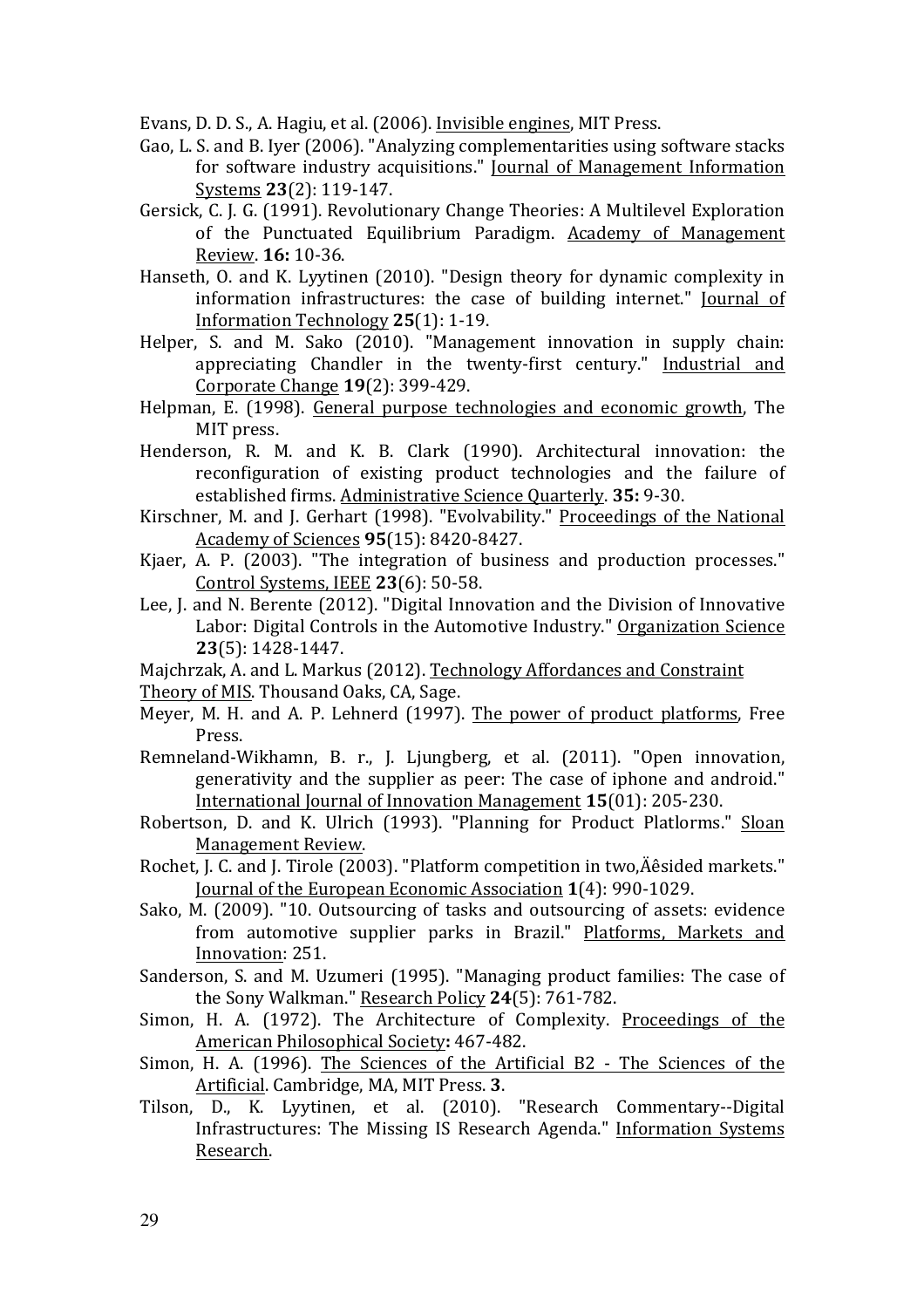Evans, D. D. S., A. Hagiu, et al. (2006). Invisible engines, MIT Press.

- Gao, L. S. and B. Iver (2006). "Analyzing complementarities using software stacks for software industry acquisitions." Journal of Management Information Systems **23**(2): 119-147.
- Gersick, C. J. G. (1991). Revolutionary Change Theories: A Multilevel Exploration of the Punctuated Equilibrium Paradigm. Academy of Management Review. **16:** 10-36.
- Hanseth, O. and K. Lyytinen (2010). "Design theory for dynamic complexity in information infrastructures: the case of building internet." Journal of Information Technology **25**(1): 1-19.
- Helper, S. and M. Sako (2010). "Management innovation in supply chain: appreciating Chandler in the twenty-first century." Industrial and Corporate Change **19**(2): 399-429.
- Helpman, E. (1998). General purpose technologies and economic growth, The MIT press.
- Henderson, R. M. and K. B. Clark (1990). Architectural innovation: the reconfiguration of existing product technologies and the failure of established firms. Administrative Science Quarterly. **35:** 9-30.
- Kirschner, M. and J. Gerhart (1998). "Evolvability." Proceedings of the National Academy of Sciences **95**(15): 8420-8427.
- Kjaer, A. P. (2003). "The integration of business and production processes." Control Systems, IEEE **23**(6): 50-58.
- Lee, I. and N. Berente (2012). "Digital Innovation and the Division of Innovative Labor: Digital Controls in the Automotive Industry." Organization Science **23**(5): 1428-1447.
- Majchrzak, A. and L. Markus (2012). Technology Affordances and Constraint Theory of MIS. Thousand Oaks, CA, Sage.
- Meyer, M. H. and A. P. Lehnerd (1997). The power of product platforms, Free Press.
- Remneland-Wikhamn, B. r., J. Ljungberg, et al. (2011). "Open innovation, generativity and the supplier as peer: The case of iphone and android." International Journal of Innovation Management **15**(01): 205-230.
- Robertson, D. and K. Ulrich (1993). "Planning for Product Platlorms." Sloan Management Review.
- Rochet, J. C. and J. Tirole (2003). "Platform competition in two, Äêsided markets." Journal of the European Economic Association **1**(4): 990-1029.
- Sako, M. (2009). "10. Outsourcing of tasks and outsourcing of assets: evidence from automotive supplier parks in Brazil." Platforms, Markets and Innovation: 251.
- Sanderson, S. and M. Uzumeri (1995). "Managing product families: The case of the Sony Walkman." Research Policy 24(5): 761-782.
- Simon, H. A. (1972). The Architecture of Complexity. Proceedings of the American Philosophical Society: 467-482.
- Simon, H. A. (1996). The Sciences of the Artificial B2 The Sciences of the Artificial. Cambridge, MA, MIT Press. 3.
- Tilson, D., K. Lyytinen, et al. (2010). "Research Commentary--Digital Infrastructures: The Missing IS Research Agenda." Information Systems Research.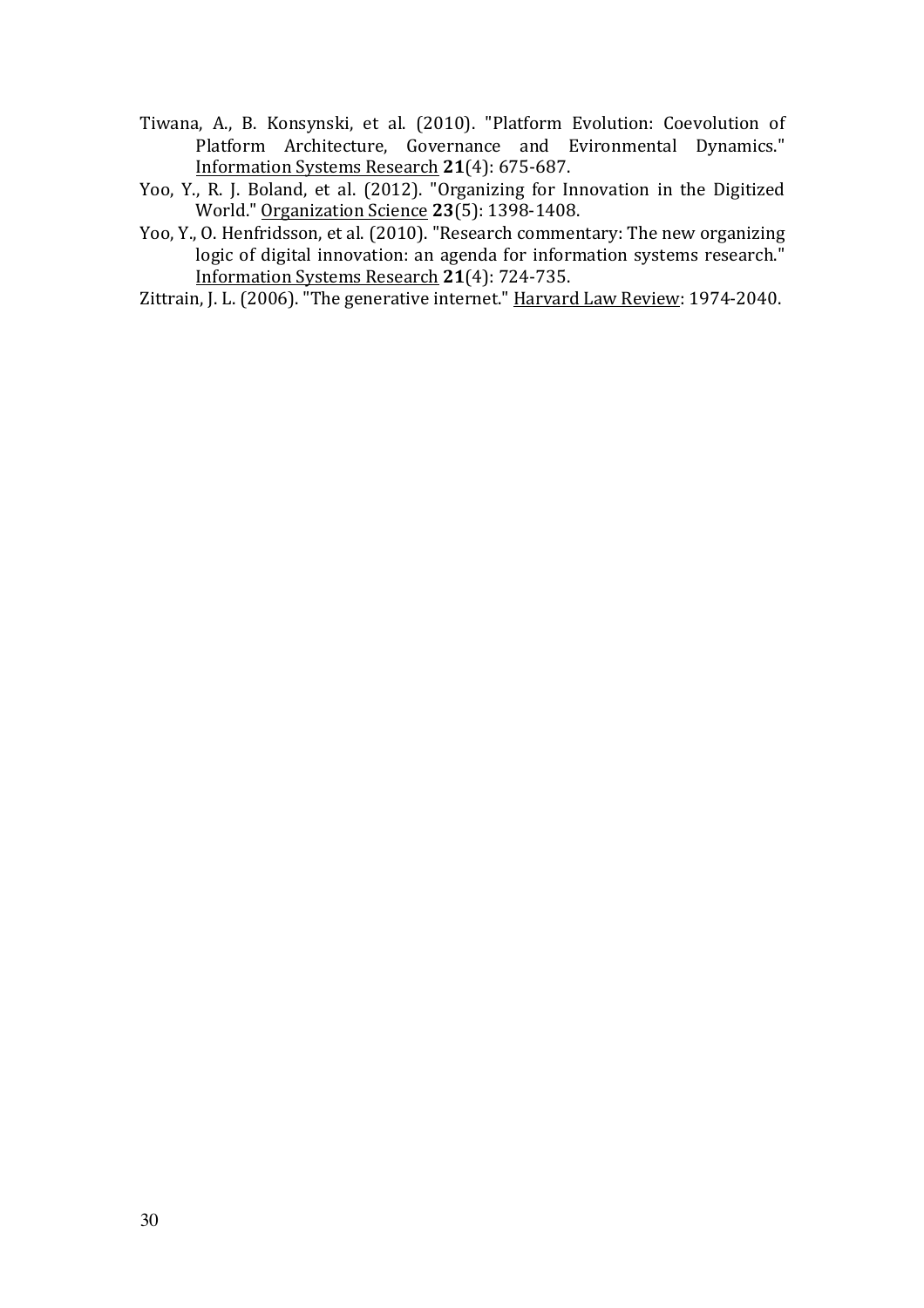- Tiwana, A., B. Konsynski, et al. (2010). "Platform Evolution: Coevolution of Platform Architecture, Governance and Evironmental Dynamics." Information Systems Research **21**(4): 675-687.
- Yoo, Y., R. J. Boland, et al. (2012). "Organizing for Innovation in the Digitized World." Organization Science **23**(5): 1398-1408.
- Yoo, Y., O. Henfridsson, et al.  $(2010)$ . "Research commentary: The new organizing logic of digital innovation: an agenda for information systems research." Information Systems Research **21**(4): 724-735.
- Zittrain, J. L. (2006). "The generative internet." Harvard Law Review: 1974-2040.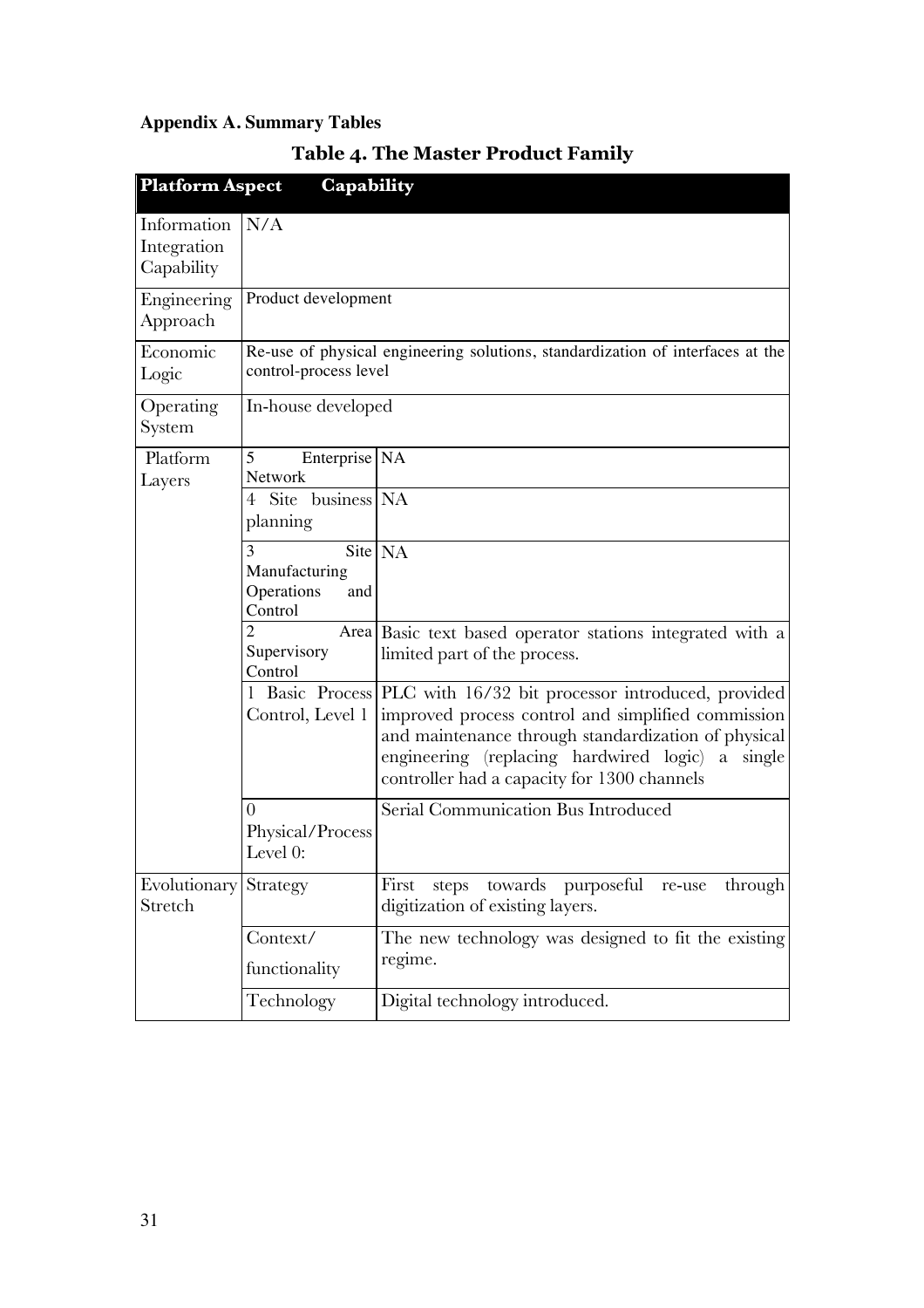# **Appendix A. Summary Tables**

| <b>Platform Aspect</b>                   | Capability                                         |                                                                                                                                                                                                                                                                                 |
|------------------------------------------|----------------------------------------------------|---------------------------------------------------------------------------------------------------------------------------------------------------------------------------------------------------------------------------------------------------------------------------------|
| Information<br>Integration<br>Capability | N/A                                                |                                                                                                                                                                                                                                                                                 |
| Engineering<br>Approach                  | Product development                                |                                                                                                                                                                                                                                                                                 |
| Economic<br>Logic                        | control-process level                              | Re-use of physical engineering solutions, standardization of interfaces at the                                                                                                                                                                                                  |
| Operating<br>System                      | In-house developed                                 |                                                                                                                                                                                                                                                                                 |
| Platform<br>Layers                       | 5<br>Enterprise NA<br>Network                      |                                                                                                                                                                                                                                                                                 |
|                                          | Site business NA<br>4<br>planning                  |                                                                                                                                                                                                                                                                                 |
|                                          | 3<br>Manufacturing<br>Operations<br>and<br>Control | Site NA                                                                                                                                                                                                                                                                         |
|                                          | 2<br>Supervisory<br>Control                        | Area Basic text based operator stations integrated with a<br>limited part of the process.                                                                                                                                                                                       |
|                                          | 1<br>Control, Level 1                              | Basic Process PLC with 16/32 bit processor introduced, provided<br>improved process control and simplified commission<br>and maintenance through standardization of physical<br>engineering (replacing hardwired logic) a single<br>controller had a capacity for 1300 channels |
|                                          | $\overline{0}$<br>Physical/Process<br>Level 0:     | Serial Communication Bus Introduced                                                                                                                                                                                                                                             |
| Evolutionary<br>Stretch                  | Strategy                                           | steps towards purposeful<br>First<br>through<br>re-use<br>digitization of existing layers.                                                                                                                                                                                      |
|                                          | Context/<br>functionality                          | The new technology was designed to fit the existing<br>regime.                                                                                                                                                                                                                  |
|                                          | Technology                                         | Digital technology introduced.                                                                                                                                                                                                                                                  |

# **Table 4. The Master Product Family**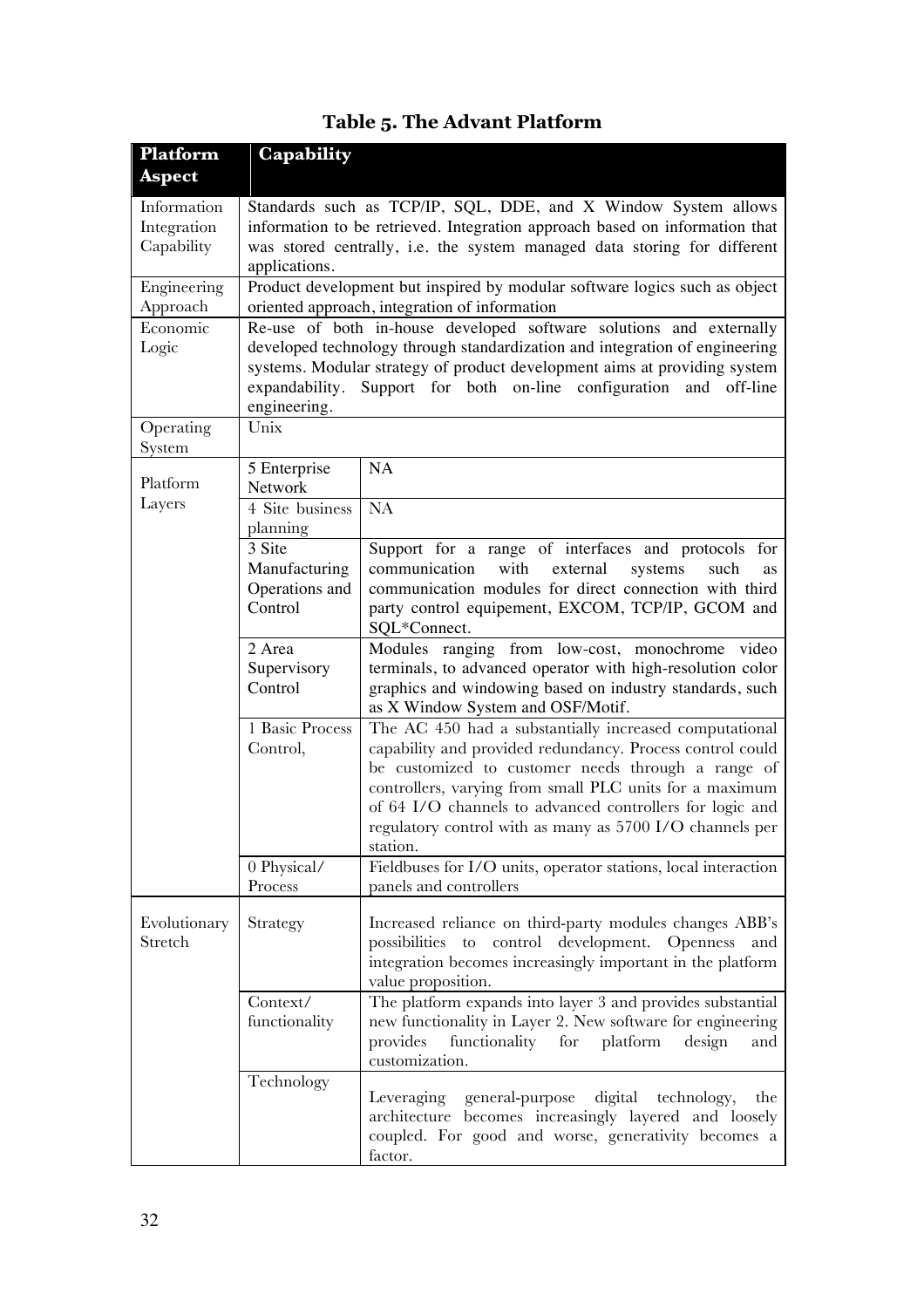| Platform      | Capability                                                                  |                                                                                                                          |  |  |
|---------------|-----------------------------------------------------------------------------|--------------------------------------------------------------------------------------------------------------------------|--|--|
| <b>Aspect</b> |                                                                             |                                                                                                                          |  |  |
| Information   |                                                                             | Standards such as TCP/IP, SQL, DDE, and X Window System allows                                                           |  |  |
| Integration   | information to be retrieved. Integration approach based on information that |                                                                                                                          |  |  |
| Capability    | was stored centrally, i.e. the system managed data storing for different    |                                                                                                                          |  |  |
|               | applications.                                                               |                                                                                                                          |  |  |
| Engineering   | Product development but inspired by modular software logics such as object  |                                                                                                                          |  |  |
| Approach      | oriented approach, integration of information                               |                                                                                                                          |  |  |
| Economic      |                                                                             | Re-use of both in-house developed software solutions and externally                                                      |  |  |
| Logic         | developed technology through standardization and integration of engineering |                                                                                                                          |  |  |
|               | systems. Modular strategy of product development aims at providing system   |                                                                                                                          |  |  |
|               |                                                                             | expandability. Support for both on-line configuration and off-line                                                       |  |  |
|               | engineering.                                                                |                                                                                                                          |  |  |
| Operating     | Unix                                                                        |                                                                                                                          |  |  |
| System        |                                                                             | NA                                                                                                                       |  |  |
| Platform      | 5 Enterprise<br>Network                                                     |                                                                                                                          |  |  |
| Layers        | 4 Site business                                                             | <b>NA</b>                                                                                                                |  |  |
|               | planning                                                                    |                                                                                                                          |  |  |
|               | 3 Site                                                                      | Support for a range of interfaces and protocols for                                                                      |  |  |
|               | Manufacturing                                                               | communication<br>external<br>systems<br>with<br>such<br>as                                                               |  |  |
|               | Operations and                                                              | communication modules for direct connection with third                                                                   |  |  |
|               | Control                                                                     | party control equipement, EXCOM, TCP/IP, GCOM and                                                                        |  |  |
|               |                                                                             | SQL*Connect.                                                                                                             |  |  |
|               | 2 Area                                                                      | Modules ranging from low-cost, monochrome video                                                                          |  |  |
|               | Supervisory                                                                 | terminals, to advanced operator with high-resolution color                                                               |  |  |
|               | Control                                                                     | graphics and windowing based on industry standards, such                                                                 |  |  |
|               |                                                                             | as X Window System and OSF/Motif.                                                                                        |  |  |
|               | 1 Basic Process                                                             | The AC 450 had a substantially increased computational                                                                   |  |  |
|               | Control,                                                                    | capability and provided redundancy. Process control could                                                                |  |  |
|               |                                                                             | be customized to customer needs through a range of<br>controllers, varying from small PLC units for a maximum            |  |  |
|               |                                                                             | of 64 I/O channels to advanced controllers for logic and                                                                 |  |  |
|               |                                                                             | regulatory control with as many as 5700 I/O channels per                                                                 |  |  |
|               |                                                                             | station.                                                                                                                 |  |  |
|               | 0 Physical/                                                                 | Fieldbuses for I/O units, operator stations, local interaction                                                           |  |  |
|               | Process                                                                     | panels and controllers                                                                                                   |  |  |
|               |                                                                             |                                                                                                                          |  |  |
| Evolutionary  | Strategy                                                                    | Increased reliance on third-party modules changes ABB's                                                                  |  |  |
| Stretch       |                                                                             | control development.<br>possibilities<br><b>Openness</b><br>to<br>and                                                    |  |  |
|               |                                                                             | integration becomes increasingly important in the platform                                                               |  |  |
|               | Context/                                                                    | value proposition.                                                                                                       |  |  |
|               | functionality                                                               | The platform expands into layer 3 and provides substantial<br>new functionality in Layer 2. New software for engineering |  |  |
|               |                                                                             | functionality for<br>design<br>provides<br>platform<br>and                                                               |  |  |
|               |                                                                             | customization.                                                                                                           |  |  |
|               | Technology                                                                  |                                                                                                                          |  |  |
|               |                                                                             | Leveraging general-purpose digital technology,<br>the                                                                    |  |  |
|               |                                                                             | architecture becomes increasingly layered and loosely                                                                    |  |  |
|               |                                                                             | coupled. For good and worse, generativity becomes a                                                                      |  |  |
|               |                                                                             | factor.                                                                                                                  |  |  |

# **Table 5. The Advant Platform**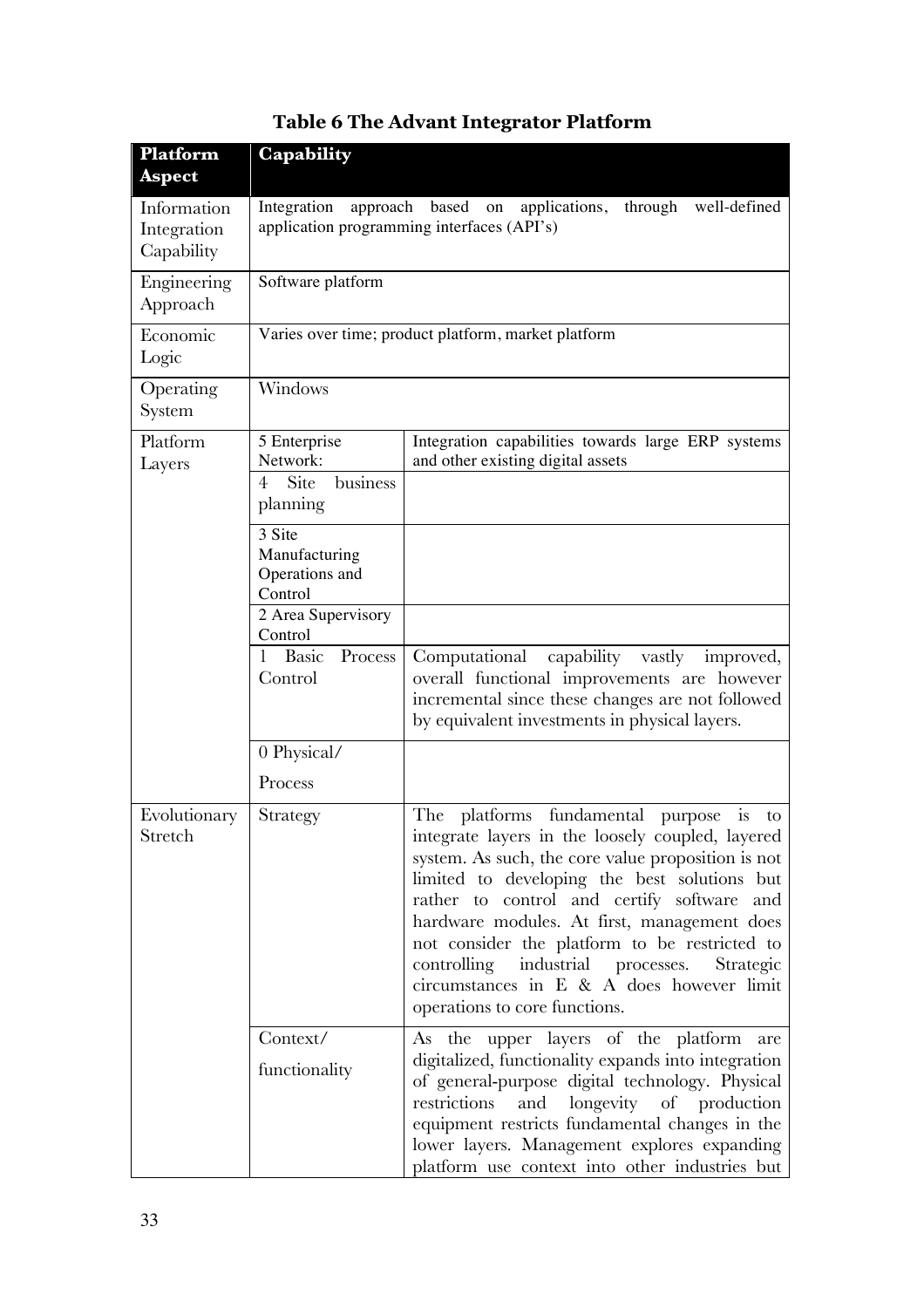| Platform<br><b>Aspect</b>                | Capability                                                                                                           |                                                                                                                                                                                                                                                                                                                                                                                                                                                                                 |  |
|------------------------------------------|----------------------------------------------------------------------------------------------------------------------|---------------------------------------------------------------------------------------------------------------------------------------------------------------------------------------------------------------------------------------------------------------------------------------------------------------------------------------------------------------------------------------------------------------------------------------------------------------------------------|--|
| Information<br>Integration<br>Capability | Integration approach<br>based on applications, through<br>well-defined<br>application programming interfaces (API's) |                                                                                                                                                                                                                                                                                                                                                                                                                                                                                 |  |
| Engineering<br>Approach                  | Software platform                                                                                                    |                                                                                                                                                                                                                                                                                                                                                                                                                                                                                 |  |
| Economic<br>Logic                        |                                                                                                                      | Varies over time; product platform, market platform                                                                                                                                                                                                                                                                                                                                                                                                                             |  |
| Operating<br>System                      | Windows                                                                                                              |                                                                                                                                                                                                                                                                                                                                                                                                                                                                                 |  |
| Platform<br>Layers                       | 5 Enterprise<br>Network:<br><b>Site</b><br>business<br>$\overline{4}$<br>planning                                    | Integration capabilities towards large ERP systems<br>and other existing digital assets                                                                                                                                                                                                                                                                                                                                                                                         |  |
|                                          | 3 Site<br>Manufacturing<br>Operations and<br>Control                                                                 |                                                                                                                                                                                                                                                                                                                                                                                                                                                                                 |  |
|                                          | 2 Area Supervisory<br>Control                                                                                        |                                                                                                                                                                                                                                                                                                                                                                                                                                                                                 |  |
|                                          | Basic Process<br>1<br>Control                                                                                        | Computational<br>capability vastly<br>improved,<br>overall functional improvements are however<br>incremental since these changes are not followed<br>by equivalent investments in physical layers.                                                                                                                                                                                                                                                                             |  |
|                                          | 0 Physical/                                                                                                          |                                                                                                                                                                                                                                                                                                                                                                                                                                                                                 |  |
|                                          | Process                                                                                                              |                                                                                                                                                                                                                                                                                                                                                                                                                                                                                 |  |
| Evolutionary<br>Stretch                  | Strategy                                                                                                             | The platforms fundamental purpose is<br>to<br>integrate layers in the loosely coupled, layered<br>system. As such, the core value proposition is not<br>limited to developing the best solutions but<br>rather to control and certify software and<br>hardware modules. At first, management does<br>not consider the platform to be restricted to<br>controlling industrial processes. Strategic<br>circumstances in E & A does however limit<br>operations to core functions. |  |
|                                          | Context/<br>functionality                                                                                            | As the upper layers of the platform are<br>digitalized, functionality expands into integration<br>of general-purpose digital technology. Physical<br>and<br>longevity of production<br>restrictions<br>equipment restricts fundamental changes in the<br>lower layers. Management explores expanding<br>platform use context into other industries but                                                                                                                          |  |

# **Table 6 The Advant Integrator Platform**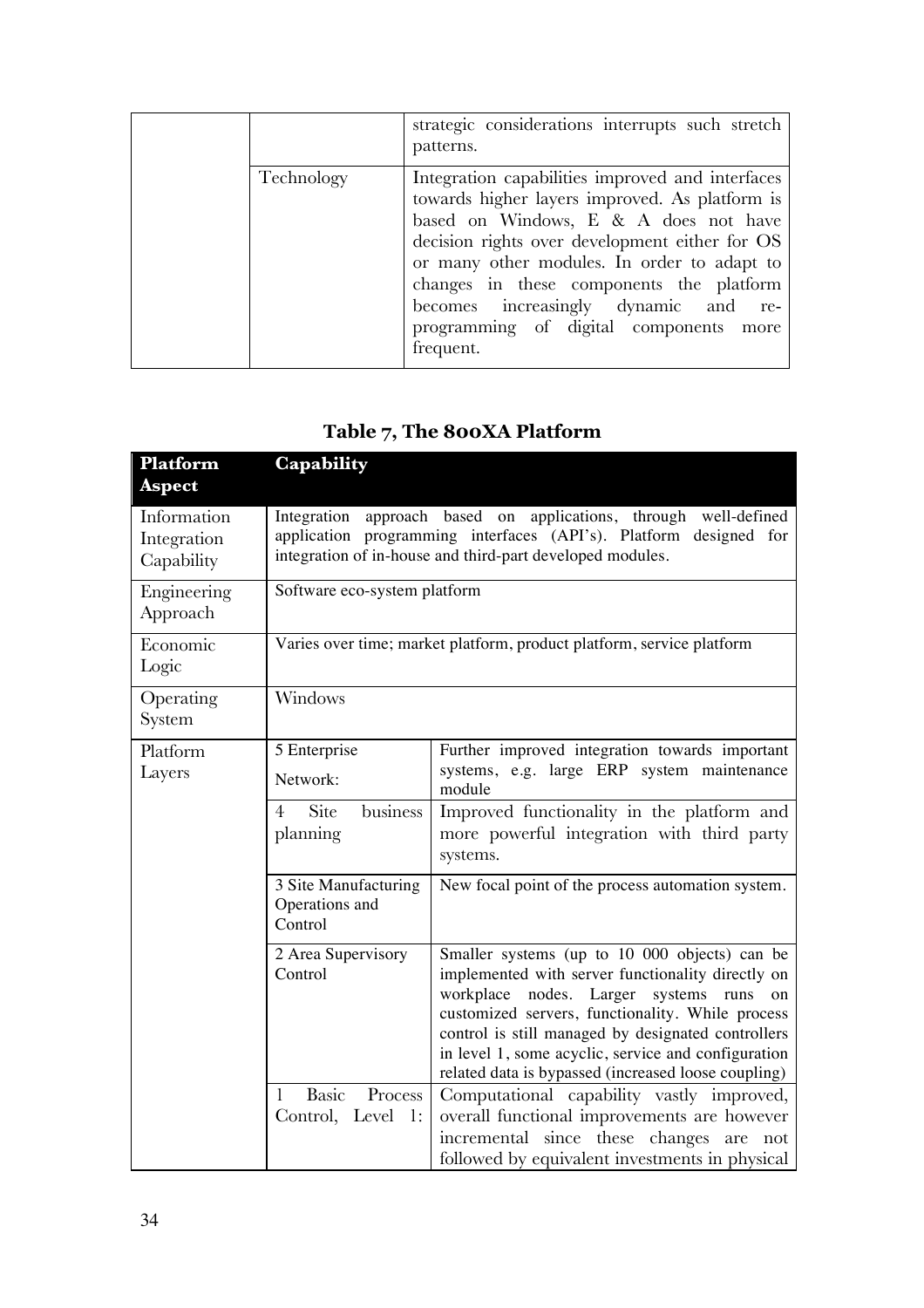|            | strategic considerations interrupts such stretch<br>patterns.                                                                                                                                                                                                                                                                                                                           |
|------------|-----------------------------------------------------------------------------------------------------------------------------------------------------------------------------------------------------------------------------------------------------------------------------------------------------------------------------------------------------------------------------------------|
| Technology | Integration capabilities improved and interfaces<br>towards higher layers improved. As platform is<br>based on Windows, E & A does not have<br>decision rights over development either for OS<br>or many other modules. In order to adapt to<br>changes in these components the platform<br>becomes increasingly dynamic and re-<br>programming of digital components more<br>frequent. |

## **Table 7, The 800XA Platform**

| Platform<br><b>Aspect</b>                | Capability                                                                                                                                                                                            |                                                                                                                                                                                                                                                                                                                                                                                           |  |
|------------------------------------------|-------------------------------------------------------------------------------------------------------------------------------------------------------------------------------------------------------|-------------------------------------------------------------------------------------------------------------------------------------------------------------------------------------------------------------------------------------------------------------------------------------------------------------------------------------------------------------------------------------------|--|
| Information<br>Integration<br>Capability | approach based on applications, through well-defined<br>Integration<br>application programming interfaces (API's). Platform designed for<br>integration of in-house and third-part developed modules. |                                                                                                                                                                                                                                                                                                                                                                                           |  |
| Engineering<br>Approach                  | Software eco-system platform                                                                                                                                                                          |                                                                                                                                                                                                                                                                                                                                                                                           |  |
| Economic<br>Logic                        |                                                                                                                                                                                                       | Varies over time; market platform, product platform, service platform                                                                                                                                                                                                                                                                                                                     |  |
| Operating<br>System                      | Windows                                                                                                                                                                                               |                                                                                                                                                                                                                                                                                                                                                                                           |  |
| Platform<br>Layers                       | 5 Enterprise<br>Network:                                                                                                                                                                              | Further improved integration towards important<br>systems, e.g. large ERP system maintenance<br>module                                                                                                                                                                                                                                                                                    |  |
|                                          | Site<br>business<br>4<br>planning                                                                                                                                                                     | Improved functionality in the platform and<br>more powerful integration with third party<br>systems.                                                                                                                                                                                                                                                                                      |  |
|                                          | 3 Site Manufacturing<br>Operations and<br>Control                                                                                                                                                     | New focal point of the process automation system.                                                                                                                                                                                                                                                                                                                                         |  |
|                                          | 2 Area Supervisory<br>Control                                                                                                                                                                         | Smaller systems (up to 10 000 objects) can be<br>implemented with server functionality directly on<br>workplace nodes. Larger<br>systems<br>runs<br><sub>on</sub><br>customized servers, functionality. While process<br>control is still managed by designated controllers<br>in level 1, some acyclic, service and configuration<br>related data is bypassed (increased loose coupling) |  |
|                                          | Basic<br>Process<br>Control, Level<br>1:                                                                                                                                                              | Computational capability vastly improved,<br>overall functional improvements are however<br>incremental since these changes are not<br>followed by equivalent investments in physical                                                                                                                                                                                                     |  |